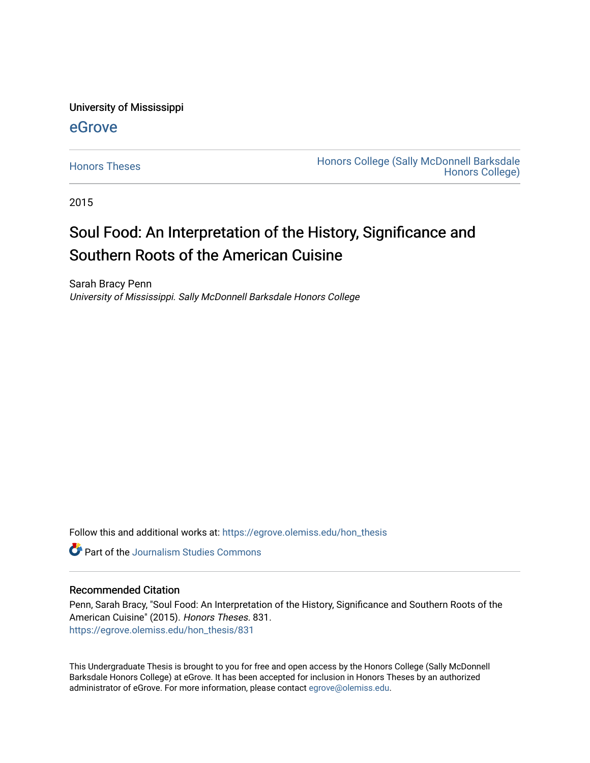University of Mississippi

# [eGrove](https://egrove.olemiss.edu/)

[Honors Theses](https://egrove.olemiss.edu/hon_thesis) **Honors College (Sally McDonnell Barksdale** [Honors College\)](https://egrove.olemiss.edu/honors) 

2015

# Soul Food: An Interpretation of the History, Significance and Southern Roots of the American Cuisine

Sarah Bracy Penn University of Mississippi. Sally McDonnell Barksdale Honors College

Follow this and additional works at: [https://egrove.olemiss.edu/hon\\_thesis](https://egrove.olemiss.edu/hon_thesis?utm_source=egrove.olemiss.edu%2Fhon_thesis%2F831&utm_medium=PDF&utm_campaign=PDFCoverPages) 

**C** Part of the [Journalism Studies Commons](http://network.bepress.com/hgg/discipline/333?utm_source=egrove.olemiss.edu%2Fhon_thesis%2F831&utm_medium=PDF&utm_campaign=PDFCoverPages)

#### Recommended Citation

Penn, Sarah Bracy, "Soul Food: An Interpretation of the History, Significance and Southern Roots of the American Cuisine" (2015). Honors Theses. 831. [https://egrove.olemiss.edu/hon\\_thesis/831](https://egrove.olemiss.edu/hon_thesis/831?utm_source=egrove.olemiss.edu%2Fhon_thesis%2F831&utm_medium=PDF&utm_campaign=PDFCoverPages) 

This Undergraduate Thesis is brought to you for free and open access by the Honors College (Sally McDonnell Barksdale Honors College) at eGrove. It has been accepted for inclusion in Honors Theses by an authorized administrator of eGrove. For more information, please contact [egrove@olemiss.edu](mailto:egrove@olemiss.edu).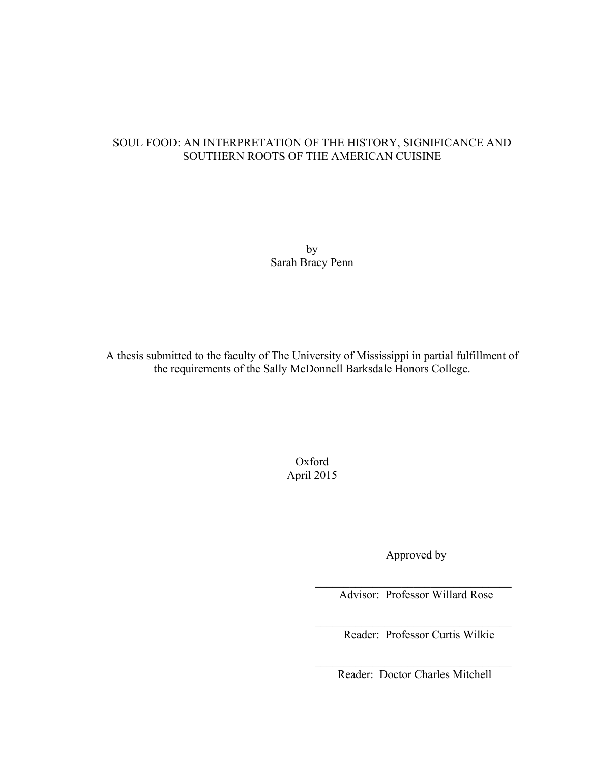## SOUL FOOD: AN INTERPRETATION OF THE HISTORY, SIGNIFICANCE AND SOUTHERN ROOTS OF THE AMERICAN CUISINE

by Sarah Bracy Penn

A thesis submitted to the faculty of The University of Mississippi in partial fulfillment of the requirements of the Sally McDonnell Barksdale Honors College.

> Oxford April 2015

> > Approved by

Advisor: Professor Willard Rose

 $\mathcal{L}_\text{max} = \frac{1}{2} \sum_{i=1}^{n} \frac{1}{2} \sum_{i=1}^{n} \frac{1}{2} \sum_{i=1}^{n} \frac{1}{2} \sum_{i=1}^{n} \frac{1}{2} \sum_{i=1}^{n} \frac{1}{2} \sum_{i=1}^{n} \frac{1}{2} \sum_{i=1}^{n} \frac{1}{2} \sum_{i=1}^{n} \frac{1}{2} \sum_{i=1}^{n} \frac{1}{2} \sum_{i=1}^{n} \frac{1}{2} \sum_{i=1}^{n} \frac{1}{2} \sum_{i=1}^{n} \frac{1$ 

 $\mathcal{L}_\text{max} = \frac{1}{2} \sum_{i=1}^{n} \frac{1}{2} \sum_{i=1}^{n} \frac{1}{2} \sum_{i=1}^{n} \frac{1}{2} \sum_{i=1}^{n} \frac{1}{2} \sum_{i=1}^{n} \frac{1}{2} \sum_{i=1}^{n} \frac{1}{2} \sum_{i=1}^{n} \frac{1}{2} \sum_{i=1}^{n} \frac{1}{2} \sum_{i=1}^{n} \frac{1}{2} \sum_{i=1}^{n} \frac{1}{2} \sum_{i=1}^{n} \frac{1}{2} \sum_{i=1}^{n} \frac{1$ 

 $\mathcal{L}_\text{max} = \frac{1}{2} \sum_{i=1}^{n} \frac{1}{2} \sum_{i=1}^{n} \frac{1}{2} \sum_{i=1}^{n} \frac{1}{2} \sum_{i=1}^{n} \frac{1}{2} \sum_{i=1}^{n} \frac{1}{2} \sum_{i=1}^{n} \frac{1}{2} \sum_{i=1}^{n} \frac{1}{2} \sum_{i=1}^{n} \frac{1}{2} \sum_{i=1}^{n} \frac{1}{2} \sum_{i=1}^{n} \frac{1}{2} \sum_{i=1}^{n} \frac{1}{2} \sum_{i=1}^{n} \frac{1$ 

Reader: Professor Curtis Wilkie

Reader: Doctor Charles Mitchell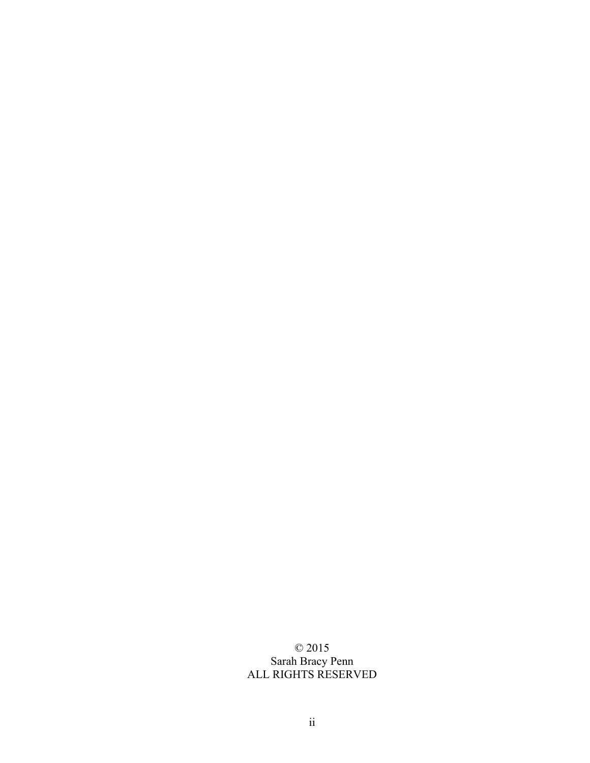# © 2015 Sarah Bracy Penn ALL RIGHTS RESERVED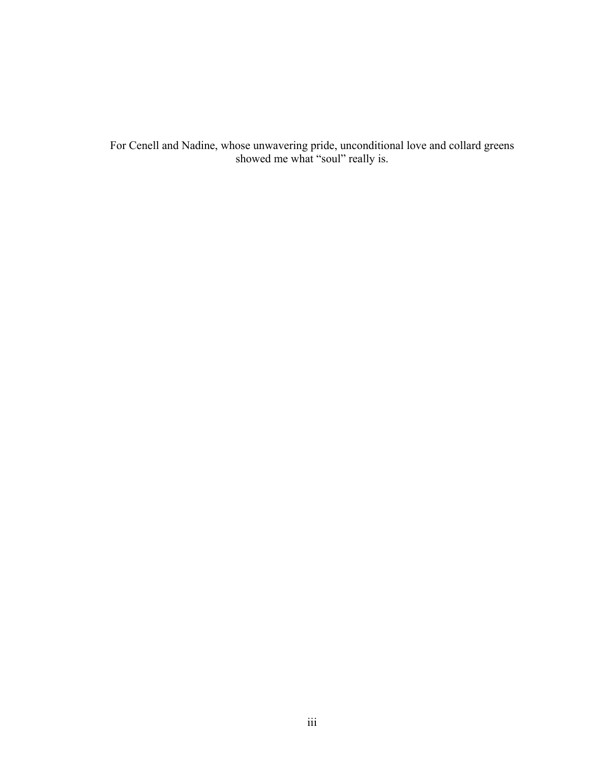For Cenell and Nadine, whose unwavering pride, unconditional love and collard greens showed me what "soul" really is.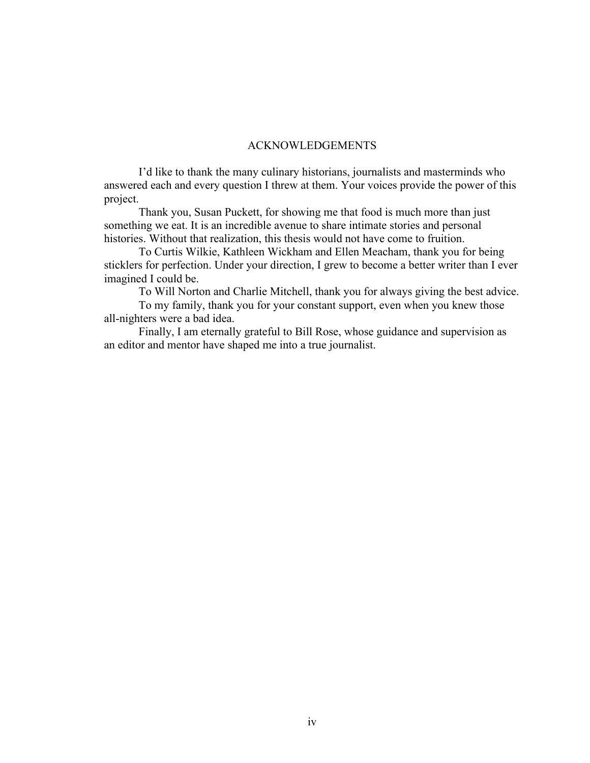## ACKNOWLEDGEMENTS

I'd like to thank the many culinary historians, journalists and masterminds who answered each and every question I threw at them. Your voices provide the power of this project.

Thank you, Susan Puckett, for showing me that food is much more than just something we eat. It is an incredible avenue to share intimate stories and personal histories. Without that realization, this thesis would not have come to fruition.

To Curtis Wilkie, Kathleen Wickham and Ellen Meacham, thank you for being sticklers for perfection. Under your direction, I grew to become a better writer than I ever imagined I could be.

To Will Norton and Charlie Mitchell, thank you for always giving the best advice.

To my family, thank you for your constant support, even when you knew those all-nighters were a bad idea.

Finally, I am eternally grateful to Bill Rose, whose guidance and supervision as an editor and mentor have shaped me into a true journalist.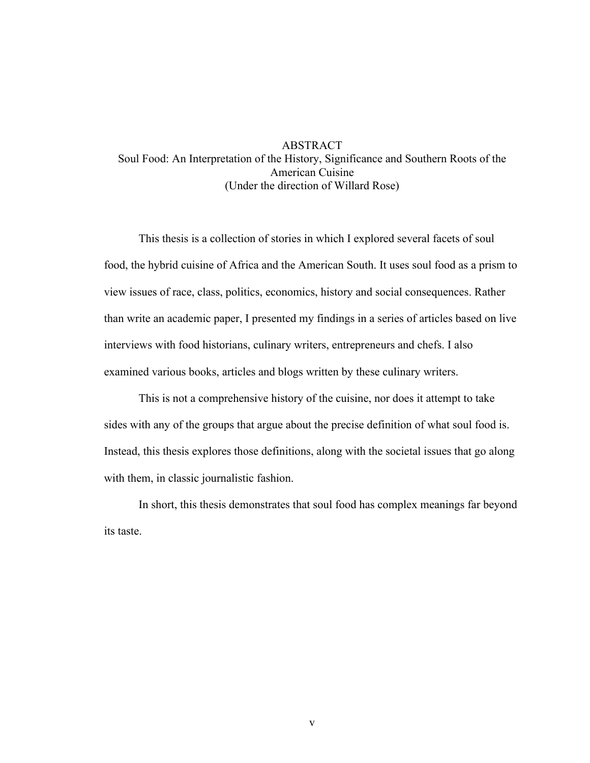## ABSTRACT Soul Food: An Interpretation of the History, Significance and Southern Roots of the American Cuisine (Under the direction of Willard Rose)

This thesis is a collection of stories in which I explored several facets of soul food, the hybrid cuisine of Africa and the American South. It uses soul food as a prism to view issues of race, class, politics, economics, history and social consequences. Rather than write an academic paper, I presented my findings in a series of articles based on live interviews with food historians, culinary writers, entrepreneurs and chefs. I also examined various books, articles and blogs written by these culinary writers.

This is not a comprehensive history of the cuisine, nor does it attempt to take sides with any of the groups that argue about the precise definition of what soul food is. Instead, this thesis explores those definitions, along with the societal issues that go along with them, in classic journalistic fashion.

In short, this thesis demonstrates that soul food has complex meanings far beyond its taste.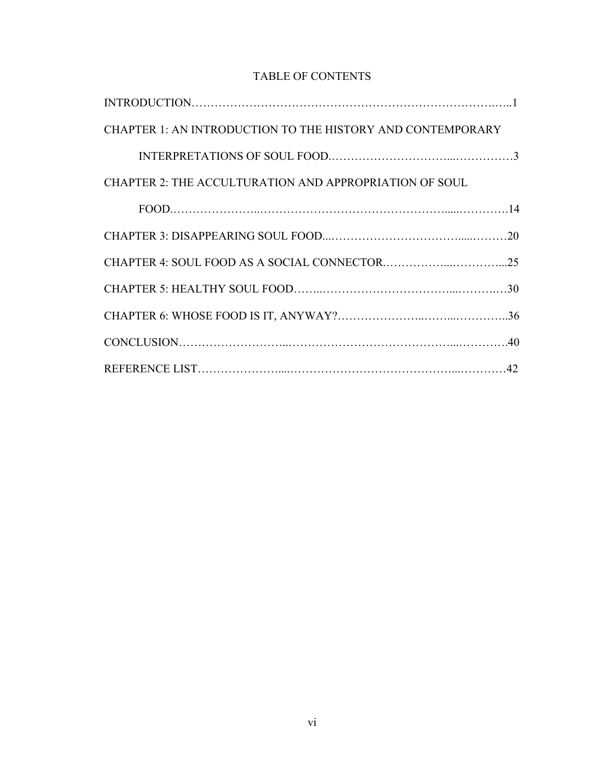# TABLE OF CONTENTS

| CHAPTER 1: AN INTRODUCTION TO THE HISTORY AND CONTEMPORARY |  |
|------------------------------------------------------------|--|
|                                                            |  |
| CHAPTER 2: THE ACCULTURATION AND APPROPRIATION OF SOUL     |  |
|                                                            |  |
|                                                            |  |
|                                                            |  |
|                                                            |  |
|                                                            |  |
|                                                            |  |
|                                                            |  |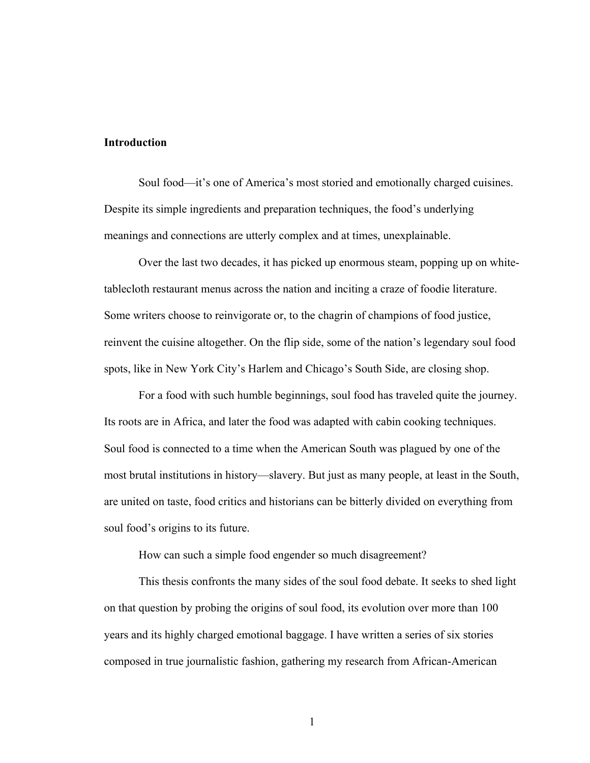## **Introduction**

Soul food—it's one of America's most storied and emotionally charged cuisines. Despite its simple ingredients and preparation techniques, the food's underlying meanings and connections are utterly complex and at times, unexplainable.

Over the last two decades, it has picked up enormous steam, popping up on whitetablecloth restaurant menus across the nation and inciting a craze of foodie literature. Some writers choose to reinvigorate or, to the chagrin of champions of food justice, reinvent the cuisine altogether. On the flip side, some of the nation's legendary soul food spots, like in New York City's Harlem and Chicago's South Side, are closing shop.

For a food with such humble beginnings, soul food has traveled quite the journey. Its roots are in Africa, and later the food was adapted with cabin cooking techniques. Soul food is connected to a time when the American South was plagued by one of the most brutal institutions in history—slavery. But just as many people, at least in the South, are united on taste, food critics and historians can be bitterly divided on everything from soul food's origins to its future.

How can such a simple food engender so much disagreement?

This thesis confronts the many sides of the soul food debate. It seeks to shed light on that question by probing the origins of soul food, its evolution over more than 100 years and its highly charged emotional baggage. I have written a series of six stories composed in true journalistic fashion, gathering my research from African-American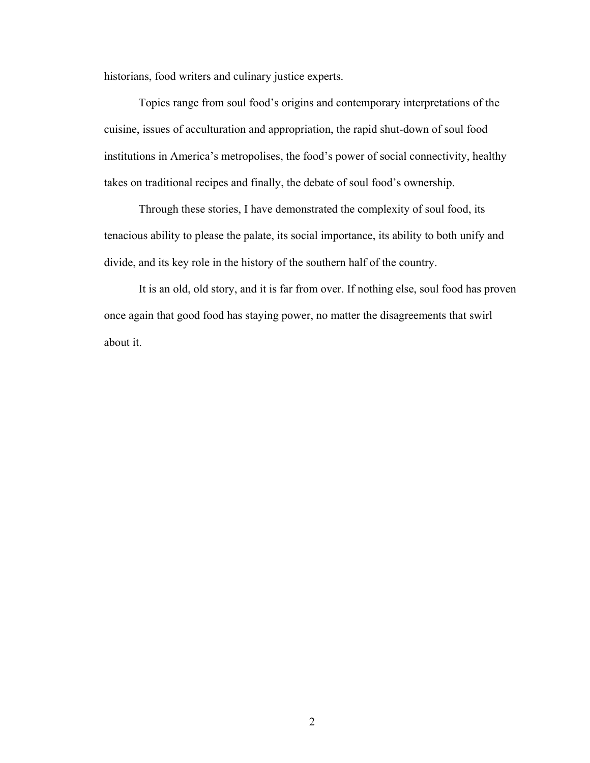historians, food writers and culinary justice experts.

Topics range from soul food's origins and contemporary interpretations of the cuisine, issues of acculturation and appropriation, the rapid shut-down of soul food institutions in America's metropolises, the food's power of social connectivity, healthy takes on traditional recipes and finally, the debate of soul food's ownership.

Through these stories, I have demonstrated the complexity of soul food, its tenacious ability to please the palate, its social importance, its ability to both unify and divide, and its key role in the history of the southern half of the country.

It is an old, old story, and it is far from over. If nothing else, soul food has proven once again that good food has staying power, no matter the disagreements that swirl about it.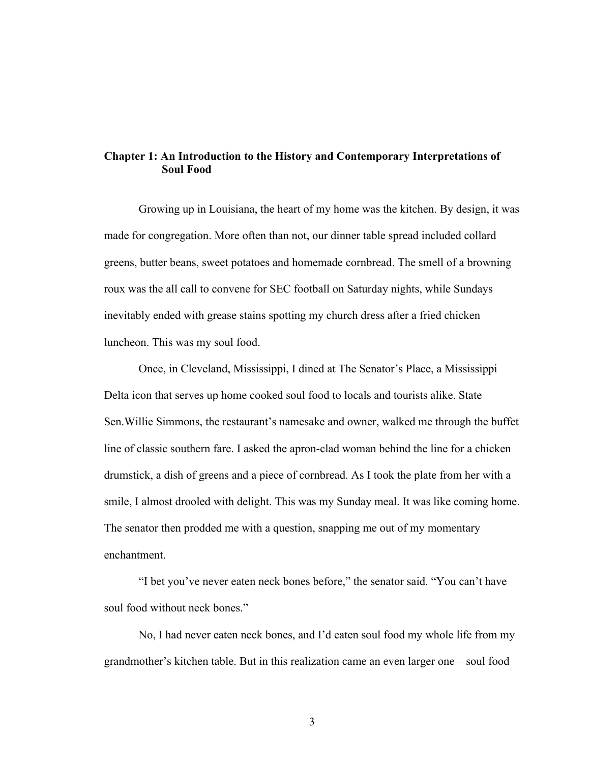## **Chapter 1: An Introduction to the History and Contemporary Interpretations of Soul Food**

Growing up in Louisiana, the heart of my home was the kitchen. By design, it was made for congregation. More often than not, our dinner table spread included collard greens, butter beans, sweet potatoes and homemade cornbread. The smell of a browning roux was the all call to convene for SEC football on Saturday nights, while Sundays inevitably ended with grease stains spotting my church dress after a fried chicken luncheon. This was my soul food.

Once, in Cleveland, Mississippi, I dined at The Senator's Place, a Mississippi Delta icon that serves up home cooked soul food to locals and tourists alike. State Sen.Willie Simmons, the restaurant's namesake and owner, walked me through the buffet line of classic southern fare. I asked the apron-clad woman behind the line for a chicken drumstick, a dish of greens and a piece of cornbread. As I took the plate from her with a smile, I almost drooled with delight. This was my Sunday meal. It was like coming home. The senator then prodded me with a question, snapping me out of my momentary enchantment.

"I bet you've never eaten neck bones before," the senator said. "You can't have soul food without neck bones."

No, I had never eaten neck bones, and I'd eaten soul food my whole life from my grandmother's kitchen table. But in this realization came an even larger one—soul food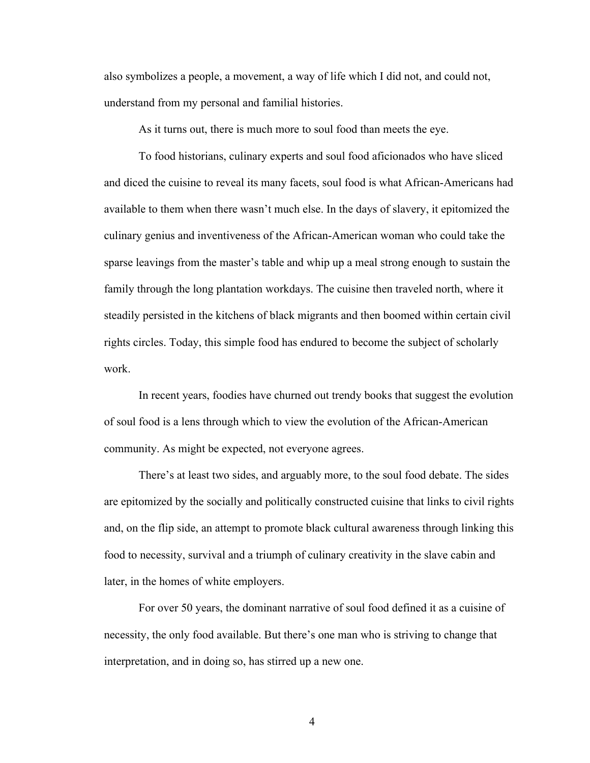also symbolizes a people, a movement, a way of life which I did not, and could not, understand from my personal and familial histories.

As it turns out, there is much more to soul food than meets the eye.

To food historians, culinary experts and soul food aficionados who have sliced and diced the cuisine to reveal its many facets, soul food is what African-Americans had available to them when there wasn't much else. In the days of slavery, it epitomized the culinary genius and inventiveness of the African-American woman who could take the sparse leavings from the master's table and whip up a meal strong enough to sustain the family through the long plantation workdays. The cuisine then traveled north, where it steadily persisted in the kitchens of black migrants and then boomed within certain civil rights circles. Today, this simple food has endured to become the subject of scholarly work.

In recent years, foodies have churned out trendy books that suggest the evolution of soul food is a lens through which to view the evolution of the African-American community. As might be expected, not everyone agrees.

There's at least two sides, and arguably more, to the soul food debate. The sides are epitomized by the socially and politically constructed cuisine that links to civil rights and, on the flip side, an attempt to promote black cultural awareness through linking this food to necessity, survival and a triumph of culinary creativity in the slave cabin and later, in the homes of white employers.

For over 50 years, the dominant narrative of soul food defined it as a cuisine of necessity, the only food available. But there's one man who is striving to change that interpretation, and in doing so, has stirred up a new one.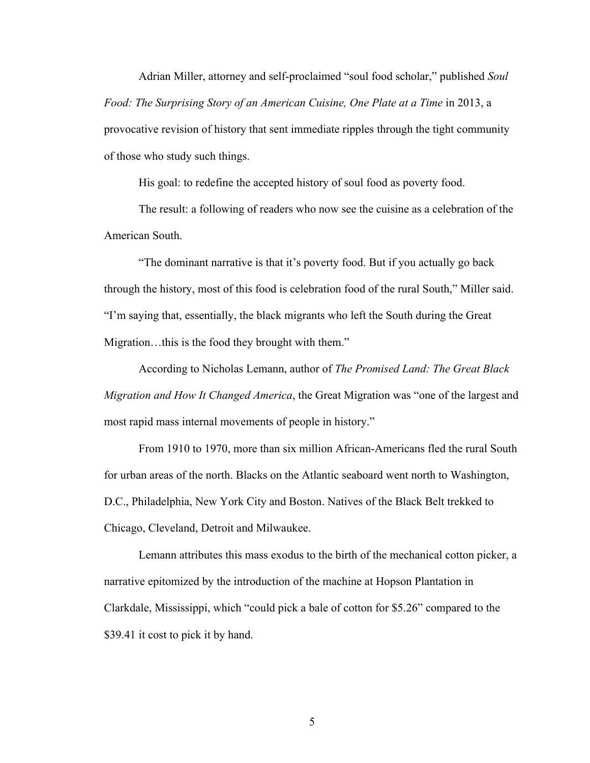Adrian Miller, attorney and self-proclaimed "soul food scholar," published *Soul Food: The Surprising Story of an American Cuisine, One Plate at a Time* in 2013, a provocative revision of history that sent immediate ripples through the tight community of those who study such things.

His goal: to redefine the accepted history of soul food as poverty food.

The result: a following of readers who now see the cuisine as a celebration of the American South.

"The dominant narrative is that it's poverty food. But if you actually go back through the history, most of this food is celebration food of the rural South," Miller said. "I'm saying that, essentially, the black migrants who left the South during the Great Migration…this is the food they brought with them."

According to Nicholas Lemann, author of *The Promised Land: The Great Black Migration and How It Changed America*, the Great Migration was "one of the largest and most rapid mass internal movements of people in history."

From 1910 to 1970, more than six million African-Americans fled the rural South for urban areas of the north. Blacks on the Atlantic seaboard went north to Washington, D.C., Philadelphia, New York City and Boston. Natives of the Black Belt trekked to Chicago, Cleveland, Detroit and Milwaukee.

Lemann attributes this mass exodus to the birth of the mechanical cotton picker, a narrative epitomized by the introduction of the machine at Hopson Plantation in Clarkdale, Mississippi, which "could pick a bale of cotton for \$5.26" compared to the \$39.41 it cost to pick it by hand.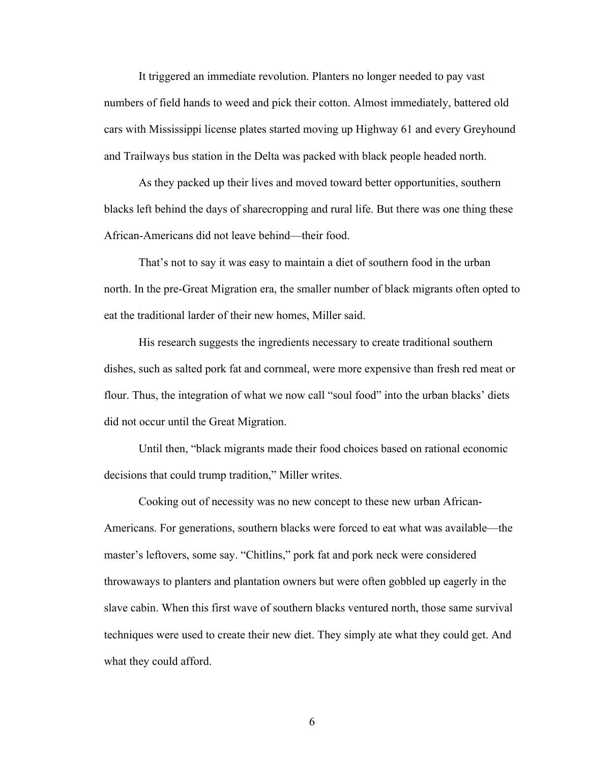It triggered an immediate revolution. Planters no longer needed to pay vast numbers of field hands to weed and pick their cotton. Almost immediately, battered old cars with Mississippi license plates started moving up Highway 61 and every Greyhound and Trailways bus station in the Delta was packed with black people headed north.

As they packed up their lives and moved toward better opportunities, southern blacks left behind the days of sharecropping and rural life. But there was one thing these African-Americans did not leave behind—their food.

That's not to say it was easy to maintain a diet of southern food in the urban north. In the pre-Great Migration era, the smaller number of black migrants often opted to eat the traditional larder of their new homes, Miller said.

His research suggests the ingredients necessary to create traditional southern dishes, such as salted pork fat and cornmeal, were more expensive than fresh red meat or flour. Thus, the integration of what we now call "soul food" into the urban blacks' diets did not occur until the Great Migration.

Until then, "black migrants made their food choices based on rational economic decisions that could trump tradition," Miller writes.

Cooking out of necessity was no new concept to these new urban African-Americans. For generations, southern blacks were forced to eat what was available—the master's leftovers, some say. "Chitlins," pork fat and pork neck were considered throwaways to planters and plantation owners but were often gobbled up eagerly in the slave cabin. When this first wave of southern blacks ventured north, those same survival techniques were used to create their new diet. They simply ate what they could get. And what they could afford.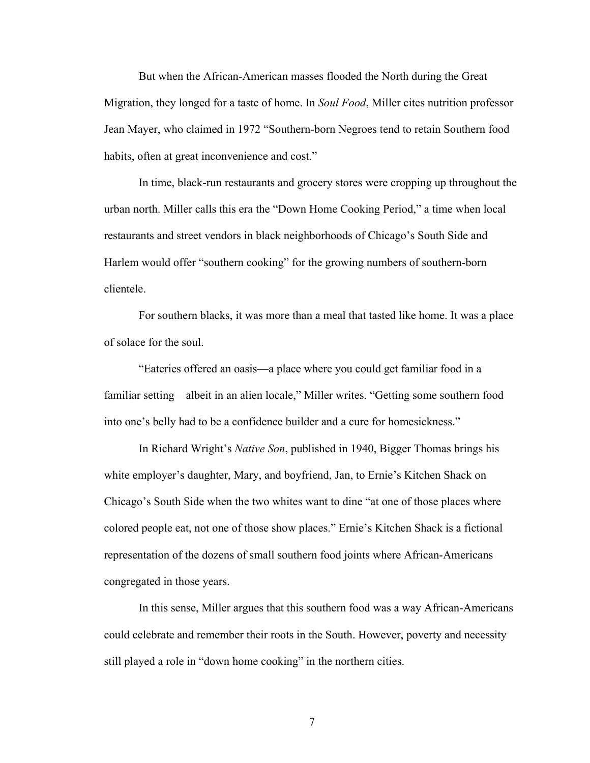But when the African-American masses flooded the North during the Great Migration, they longed for a taste of home. In *Soul Food*, Miller cites nutrition professor Jean Mayer, who claimed in 1972 "Southern-born Negroes tend to retain Southern food habits, often at great inconvenience and cost."

In time, black-run restaurants and grocery stores were cropping up throughout the urban north. Miller calls this era the "Down Home Cooking Period," a time when local restaurants and street vendors in black neighborhoods of Chicago's South Side and Harlem would offer "southern cooking" for the growing numbers of southern-born clientele.

For southern blacks, it was more than a meal that tasted like home. It was a place of solace for the soul.

"Eateries offered an oasis—a place where you could get familiar food in a familiar setting—albeit in an alien locale," Miller writes. "Getting some southern food into one's belly had to be a confidence builder and a cure for homesickness."

In Richard Wright's *Native Son*, published in 1940, Bigger Thomas brings his white employer's daughter, Mary, and boyfriend, Jan, to Ernie's Kitchen Shack on Chicago's South Side when the two whites want to dine "at one of those places where colored people eat, not one of those show places." Ernie's Kitchen Shack is a fictional representation of the dozens of small southern food joints where African-Americans congregated in those years.

In this sense, Miller argues that this southern food was a way African-Americans could celebrate and remember their roots in the South. However, poverty and necessity still played a role in "down home cooking" in the northern cities.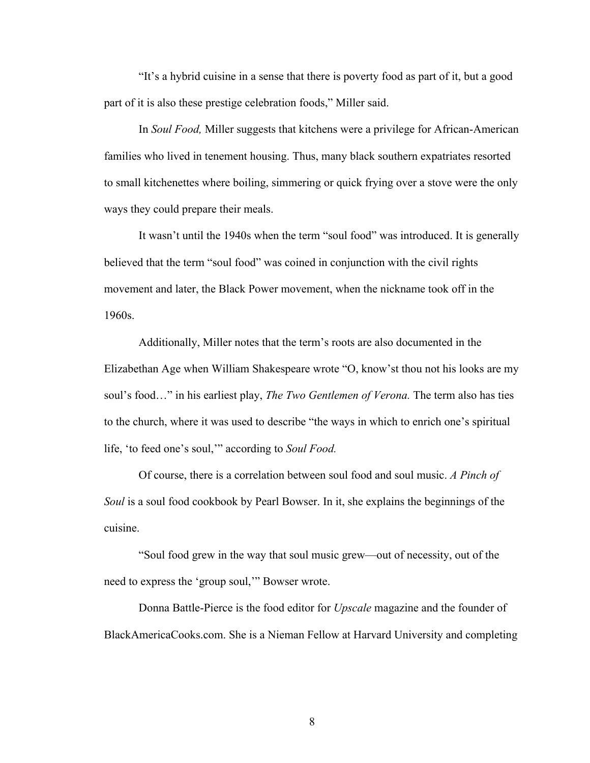"It's a hybrid cuisine in a sense that there is poverty food as part of it, but a good part of it is also these prestige celebration foods," Miller said.

In *Soul Food,* Miller suggests that kitchens were a privilege for African-American families who lived in tenement housing. Thus, many black southern expatriates resorted to small kitchenettes where boiling, simmering or quick frying over a stove were the only ways they could prepare their meals.

It wasn't until the 1940s when the term "soul food" was introduced. It is generally believed that the term "soul food" was coined in conjunction with the civil rights movement and later, the Black Power movement, when the nickname took off in the 1960s.

Additionally, Miller notes that the term's roots are also documented in the Elizabethan Age when William Shakespeare wrote "O, know'st thou not his looks are my soul's food…" in his earliest play, *The Two Gentlemen of Verona.* The term also has ties to the church, where it was used to describe "the ways in which to enrich one's spiritual life, 'to feed one's soul,'" according to *Soul Food.*

Of course, there is a correlation between soul food and soul music. *A Pinch of Soul* is a soul food cookbook by Pearl Bowser. In it, she explains the beginnings of the cuisine.

"Soul food grew in the way that soul music grew—out of necessity, out of the need to express the 'group soul,'" Bowser wrote.

Donna Battle-Pierce is the food editor for *Upscale* magazine and the founder of BlackAmericaCooks.com. She is a Nieman Fellow at Harvard University and completing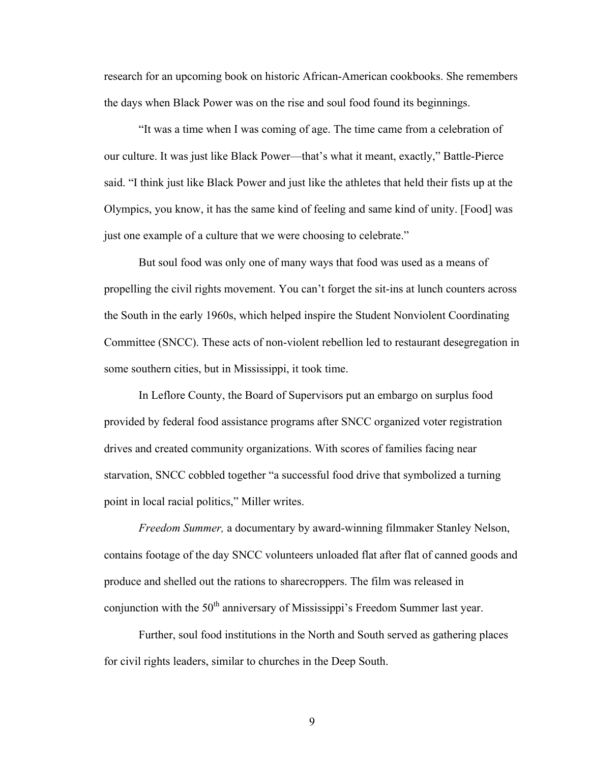research for an upcoming book on historic African-American cookbooks. She remembers the days when Black Power was on the rise and soul food found its beginnings.

"It was a time when I was coming of age. The time came from a celebration of our culture. It was just like Black Power—that's what it meant, exactly," Battle-Pierce said. "I think just like Black Power and just like the athletes that held their fists up at the Olympics, you know, it has the same kind of feeling and same kind of unity. [Food] was just one example of a culture that we were choosing to celebrate."

But soul food was only one of many ways that food was used as a means of propelling the civil rights movement. You can't forget the sit-ins at lunch counters across the South in the early 1960s, which helped inspire the Student Nonviolent Coordinating Committee (SNCC). These acts of non-violent rebellion led to restaurant desegregation in some southern cities, but in Mississippi, it took time.

In Leflore County, the Board of Supervisors put an embargo on surplus food provided by federal food assistance programs after SNCC organized voter registration drives and created community organizations. With scores of families facing near starvation, SNCC cobbled together "a successful food drive that symbolized a turning point in local racial politics," Miller writes.

*Freedom Summer,* a documentary by award-winning filmmaker Stanley Nelson, contains footage of the day SNCC volunteers unloaded flat after flat of canned goods and produce and shelled out the rations to sharecroppers. The film was released in conjunction with the 50<sup>th</sup> anniversary of Mississippi's Freedom Summer last year.

Further, soul food institutions in the North and South served as gathering places for civil rights leaders, similar to churches in the Deep South.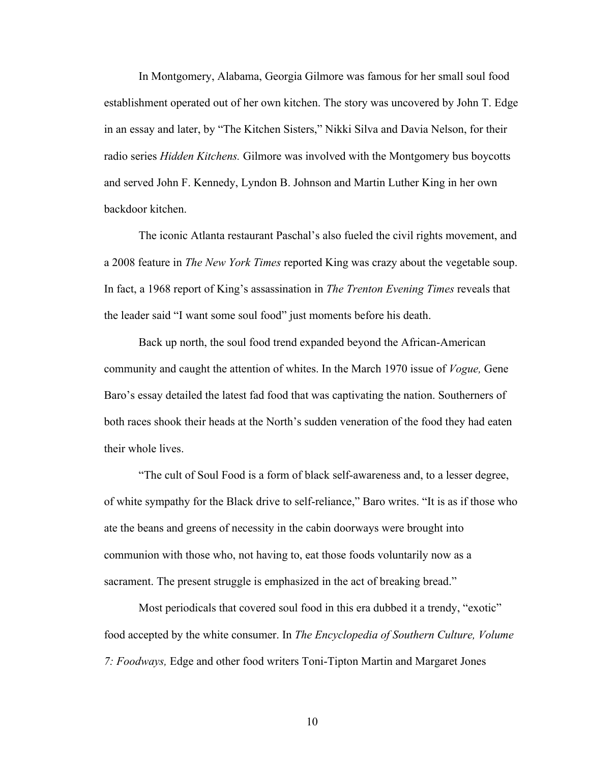In Montgomery, Alabama, Georgia Gilmore was famous for her small soul food establishment operated out of her own kitchen. The story was uncovered by John T. Edge in an essay and later, by "The Kitchen Sisters," Nikki Silva and Davia Nelson, for their radio series *Hidden Kitchens.* Gilmore was involved with the Montgomery bus boycotts and served John F. Kennedy, Lyndon B. Johnson and Martin Luther King in her own backdoor kitchen.

The iconic Atlanta restaurant Paschal's also fueled the civil rights movement, and a 2008 feature in *The New York Times* reported King was crazy about the vegetable soup. In fact, a 1968 report of King's assassination in *The Trenton Evening Times* reveals that the leader said "I want some soul food" just moments before his death.

Back up north, the soul food trend expanded beyond the African-American community and caught the attention of whites. In the March 1970 issue of *Vogue,* Gene Baro's essay detailed the latest fad food that was captivating the nation. Southerners of both races shook their heads at the North's sudden veneration of the food they had eaten their whole lives.

"The cult of Soul Food is a form of black self-awareness and, to a lesser degree, of white sympathy for the Black drive to self-reliance," Baro writes. "It is as if those who ate the beans and greens of necessity in the cabin doorways were brought into communion with those who, not having to, eat those foods voluntarily now as a sacrament. The present struggle is emphasized in the act of breaking bread."

Most periodicals that covered soul food in this era dubbed it a trendy, "exotic" food accepted by the white consumer. In *The Encyclopedia of Southern Culture, Volume 7: Foodways,* Edge and other food writers Toni-Tipton Martin and Margaret Jones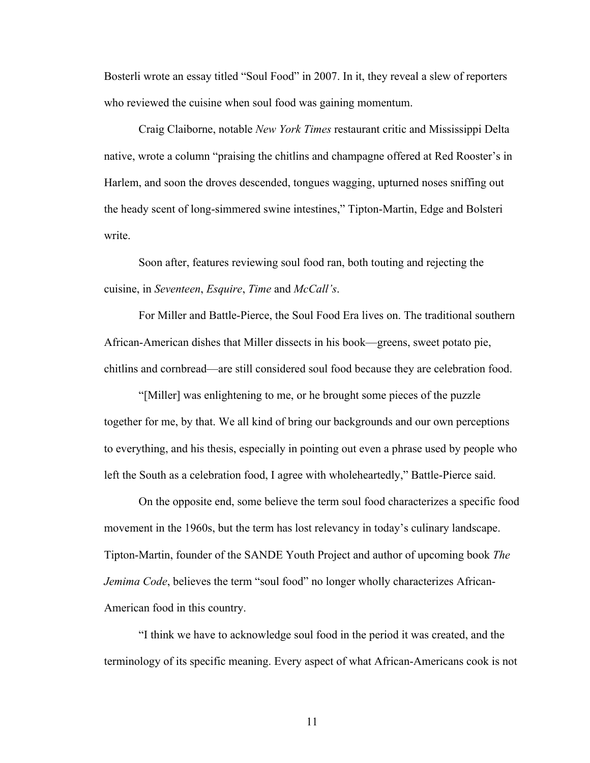Bosterli wrote an essay titled "Soul Food" in 2007. In it, they reveal a slew of reporters who reviewed the cuisine when soul food was gaining momentum.

Craig Claiborne, notable *New York Times* restaurant critic and Mississippi Delta native, wrote a column "praising the chitlins and champagne offered at Red Rooster's in Harlem, and soon the droves descended, tongues wagging, upturned noses sniffing out the heady scent of long-simmered swine intestines," Tipton-Martin, Edge and Bolsteri write.

Soon after, features reviewing soul food ran, both touting and rejecting the cuisine, in *Seventeen*, *Esquire*, *Time* and *McCall's*.

For Miller and Battle-Pierce, the Soul Food Era lives on. The traditional southern African-American dishes that Miller dissects in his book—greens, sweet potato pie, chitlins and cornbread—are still considered soul food because they are celebration food.

"[Miller] was enlightening to me, or he brought some pieces of the puzzle together for me, by that. We all kind of bring our backgrounds and our own perceptions to everything, and his thesis, especially in pointing out even a phrase used by people who left the South as a celebration food, I agree with wholeheartedly," Battle-Pierce said.

On the opposite end, some believe the term soul food characterizes a specific food movement in the 1960s, but the term has lost relevancy in today's culinary landscape. Tipton-Martin, founder of the SANDE Youth Project and author of upcoming book *The Jemima Code*, believes the term "soul food" no longer wholly characterizes African-American food in this country.

"I think we have to acknowledge soul food in the period it was created, and the terminology of its specific meaning. Every aspect of what African-Americans cook is not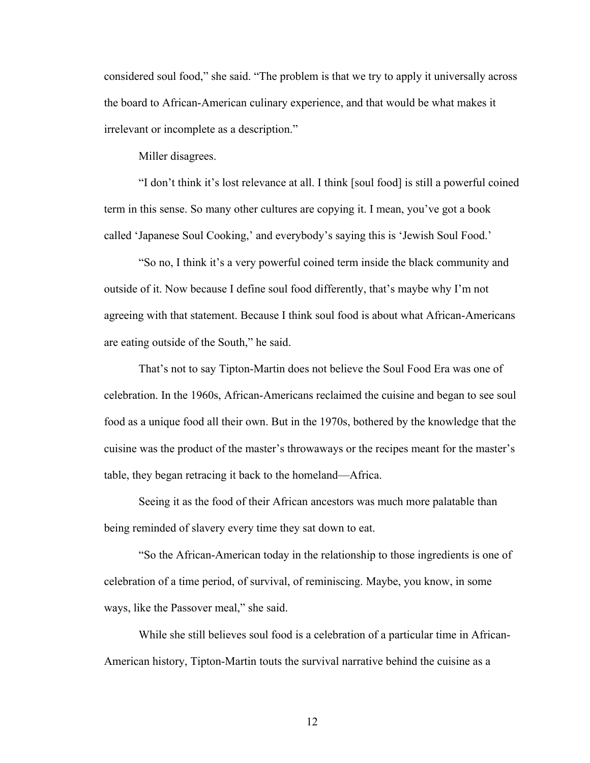considered soul food," she said. "The problem is that we try to apply it universally across the board to African-American culinary experience, and that would be what makes it irrelevant or incomplete as a description."

Miller disagrees.

"I don't think it's lost relevance at all. I think [soul food] is still a powerful coined term in this sense. So many other cultures are copying it. I mean, you've got a book called 'Japanese Soul Cooking,' and everybody's saying this is 'Jewish Soul Food.'

"So no, I think it's a very powerful coined term inside the black community and outside of it. Now because I define soul food differently, that's maybe why I'm not agreeing with that statement. Because I think soul food is about what African-Americans are eating outside of the South," he said.

That's not to say Tipton-Martin does not believe the Soul Food Era was one of celebration. In the 1960s, African-Americans reclaimed the cuisine and began to see soul food as a unique food all their own. But in the 1970s, bothered by the knowledge that the cuisine was the product of the master's throwaways or the recipes meant for the master's table, they began retracing it back to the homeland—Africa.

Seeing it as the food of their African ancestors was much more palatable than being reminded of slavery every time they sat down to eat.

"So the African-American today in the relationship to those ingredients is one of celebration of a time period, of survival, of reminiscing. Maybe, you know, in some ways, like the Passover meal," she said.

While she still believes soul food is a celebration of a particular time in African-American history, Tipton-Martin touts the survival narrative behind the cuisine as a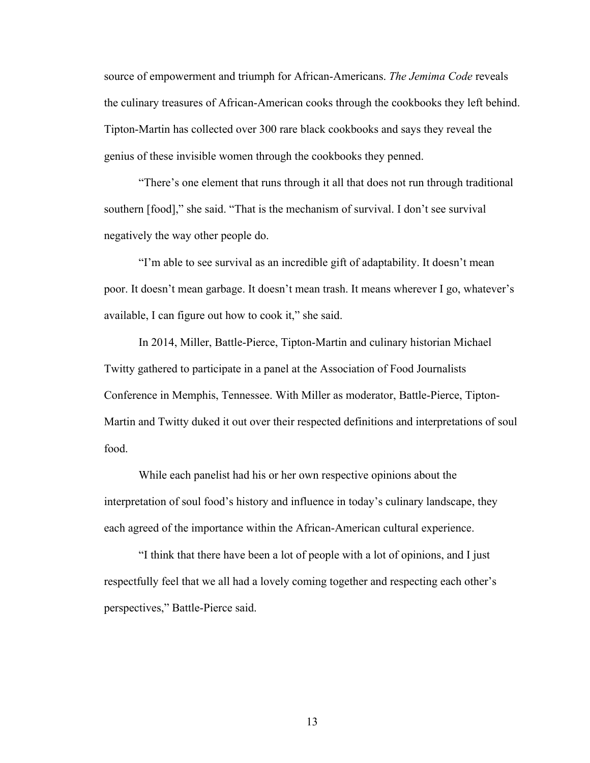source of empowerment and triumph for African-Americans. *The Jemima Code* reveals the culinary treasures of African-American cooks through the cookbooks they left behind. Tipton-Martin has collected over 300 rare black cookbooks and says they reveal the genius of these invisible women through the cookbooks they penned.

"There's one element that runs through it all that does not run through traditional southern [food]," she said. "That is the mechanism of survival. I don't see survival negatively the way other people do.

"I'm able to see survival as an incredible gift of adaptability. It doesn't mean poor. It doesn't mean garbage. It doesn't mean trash. It means wherever I go, whatever's available, I can figure out how to cook it," she said.

In 2014, Miller, Battle-Pierce, Tipton-Martin and culinary historian Michael Twitty gathered to participate in a panel at the Association of Food Journalists Conference in Memphis, Tennessee. With Miller as moderator, Battle-Pierce, Tipton-Martin and Twitty duked it out over their respected definitions and interpretations of soul food.

While each panelist had his or her own respective opinions about the interpretation of soul food's history and influence in today's culinary landscape, they each agreed of the importance within the African-American cultural experience.

"I think that there have been a lot of people with a lot of opinions, and I just respectfully feel that we all had a lovely coming together and respecting each other's perspectives," Battle-Pierce said.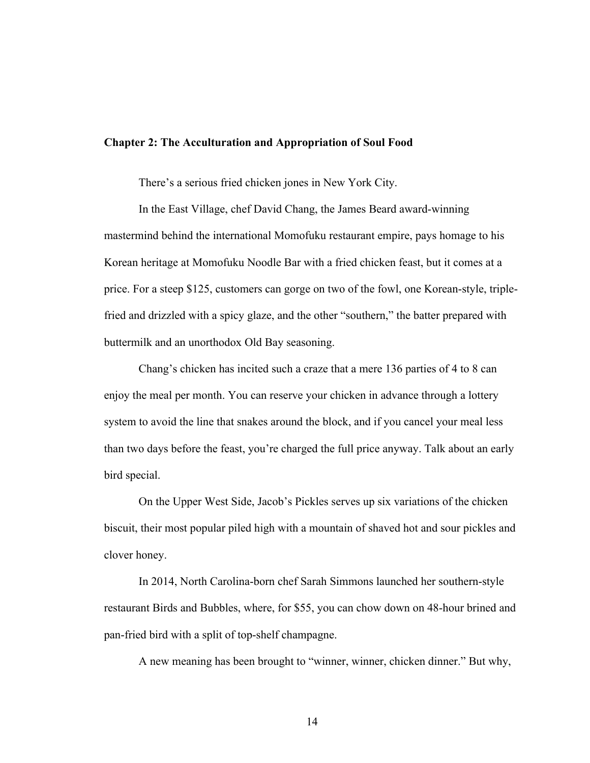## **Chapter 2: The Acculturation and Appropriation of Soul Food**

There's a serious fried chicken jones in New York City.

In the East Village, chef David Chang, the James Beard award-winning mastermind behind the international Momofuku restaurant empire, pays homage to his Korean heritage at Momofuku Noodle Bar with a fried chicken feast, but it comes at a price. For a steep \$125, customers can gorge on two of the fowl, one Korean-style, triplefried and drizzled with a spicy glaze, and the other "southern," the batter prepared with buttermilk and an unorthodox Old Bay seasoning.

Chang's chicken has incited such a craze that a mere 136 parties of 4 to 8 can enjoy the meal per month. You can reserve your chicken in advance through a lottery system to avoid the line that snakes around the block, and if you cancel your meal less than two days before the feast, you're charged the full price anyway. Talk about an early bird special.

On the Upper West Side, Jacob's Pickles serves up six variations of the chicken biscuit, their most popular piled high with a mountain of shaved hot and sour pickles and clover honey.

In 2014, North Carolina-born chef Sarah Simmons launched her southern-style restaurant Birds and Bubbles, where, for \$55, you can chow down on 48-hour brined and pan-fried bird with a split of top-shelf champagne.

A new meaning has been brought to "winner, winner, chicken dinner." But why,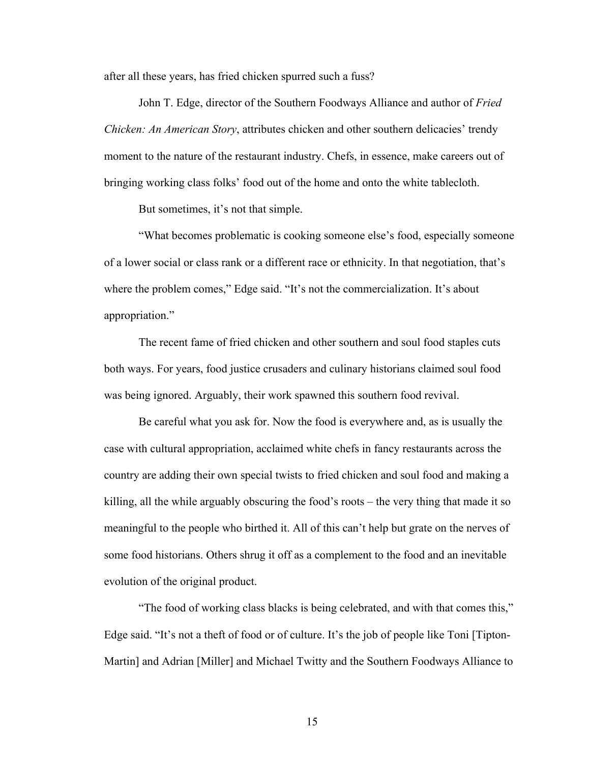after all these years, has fried chicken spurred such a fuss?

John T. Edge, director of the Southern Foodways Alliance and author of *Fried Chicken: An American Story*, attributes chicken and other southern delicacies' trendy moment to the nature of the restaurant industry. Chefs, in essence, make careers out of bringing working class folks' food out of the home and onto the white tablecloth.

But sometimes, it's not that simple.

 "What becomes problematic is cooking someone else's food, especially someone of a lower social or class rank or a different race or ethnicity. In that negotiation, that's where the problem comes," Edge said. "It's not the commercialization. It's about appropriation."

 The recent fame of fried chicken and other southern and soul food staples cuts both ways. For years, food justice crusaders and culinary historians claimed soul food was being ignored. Arguably, their work spawned this southern food revival.

Be careful what you ask for. Now the food is everywhere and, as is usually the case with cultural appropriation, acclaimed white chefs in fancy restaurants across the country are adding their own special twists to fried chicken and soul food and making a killing, all the while arguably obscuring the food's roots – the very thing that made it so meaningful to the people who birthed it. All of this can't help but grate on the nerves of some food historians. Others shrug it off as a complement to the food and an inevitable evolution of the original product.

 "The food of working class blacks is being celebrated, and with that comes this," Edge said. "It's not a theft of food or of culture. It's the job of people like Toni [Tipton-Martin] and Adrian [Miller] and Michael Twitty and the Southern Foodways Alliance to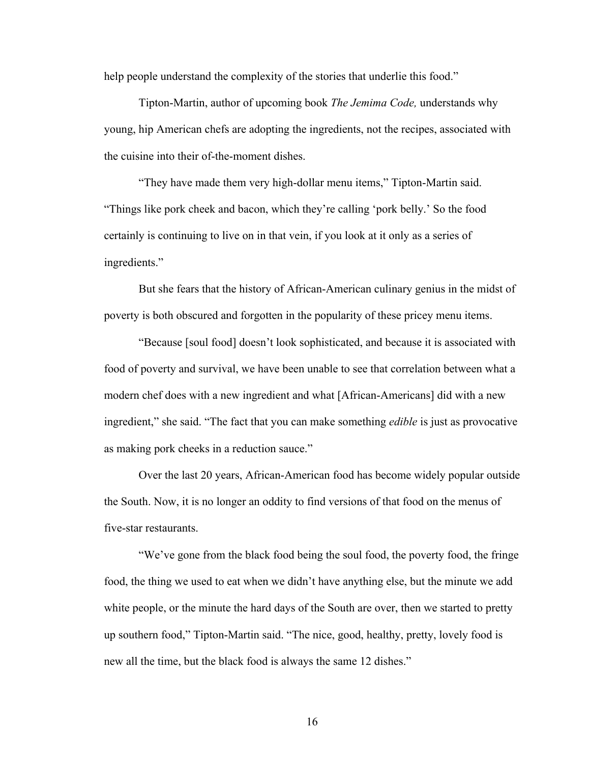help people understand the complexity of the stories that underlie this food."

 Tipton-Martin, author of upcoming book *The Jemima Code,* understands why young, hip American chefs are adopting the ingredients, not the recipes, associated with the cuisine into their of-the-moment dishes.

 "They have made them very high-dollar menu items," Tipton-Martin said. "Things like pork cheek and bacon, which they're calling 'pork belly.' So the food certainly is continuing to live on in that vein, if you look at it only as a series of ingredients."

 But she fears that the history of African-American culinary genius in the midst of poverty is both obscured and forgotten in the popularity of these pricey menu items.

 "Because [soul food] doesn't look sophisticated, and because it is associated with food of poverty and survival, we have been unable to see that correlation between what a modern chef does with a new ingredient and what [African-Americans] did with a new ingredient," she said. "The fact that you can make something *edible* is just as provocative as making pork cheeks in a reduction sauce."

 Over the last 20 years, African-American food has become widely popular outside the South. Now, it is no longer an oddity to find versions of that food on the menus of five-star restaurants.

"We've gone from the black food being the soul food, the poverty food, the fringe food, the thing we used to eat when we didn't have anything else, but the minute we add white people, or the minute the hard days of the South are over, then we started to pretty up southern food," Tipton-Martin said. "The nice, good, healthy, pretty, lovely food is new all the time, but the black food is always the same 12 dishes."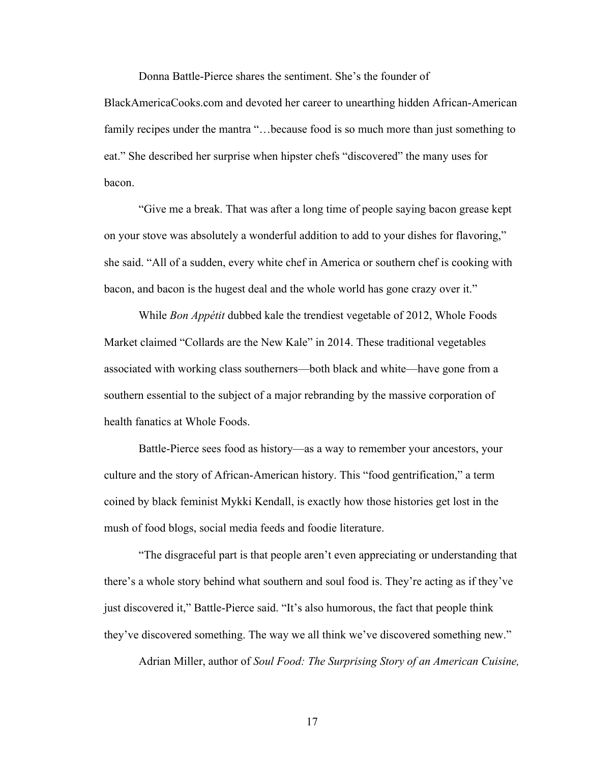Donna Battle-Pierce shares the sentiment. She's the founder of

BlackAmericaCooks.com and devoted her career to unearthing hidden African-American family recipes under the mantra "...because food is so much more than just something to eat." She described her surprise when hipster chefs "discovered" the many uses for bacon.

"Give me a break. That was after a long time of people saying bacon grease kept on your stove was absolutely a wonderful addition to add to your dishes for flavoring," she said. "All of a sudden, every white chef in America or southern chef is cooking with bacon, and bacon is the hugest deal and the whole world has gone crazy over it."

While *Bon Appétit* dubbed kale the trendiest vegetable of 2012, Whole Foods Market claimed "Collards are the New Kale" in 2014. These traditional vegetables associated with working class southerners—both black and white—have gone from a southern essential to the subject of a major rebranding by the massive corporation of health fanatics at Whole Foods.

Battle-Pierce sees food as history—as a way to remember your ancestors, your culture and the story of African-American history. This "food gentrification," a term coined by black feminist Mykki Kendall, is exactly how those histories get lost in the mush of food blogs, social media feeds and foodie literature.

"The disgraceful part is that people aren't even appreciating or understanding that there's a whole story behind what southern and soul food is. They're acting as if they've just discovered it," Battle-Pierce said. "It's also humorous, the fact that people think they've discovered something. The way we all think we've discovered something new."

Adrian Miller, author of *Soul Food: The Surprising Story of an American Cuisine,*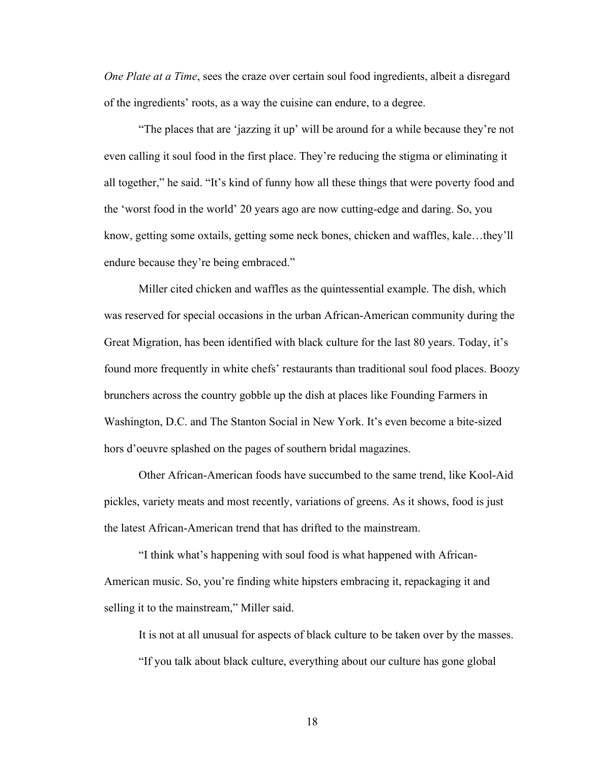*One Plate at a Time*, sees the craze over certain soul food ingredients, albeit a disregard of the ingredients' roots, as a way the cuisine can endure, to a degree.

"The places that are 'jazzing it up' will be around for a while because they're not even calling it soul food in the first place. They're reducing the stigma or eliminating it all together," he said. "It's kind of funny how all these things that were poverty food and the 'worst food in the world' 20 years ago are now cutting-edge and daring. So, you know, getting some oxtails, getting some neck bones, chicken and waffles, kale…they'll endure because they're being embraced."

Miller cited chicken and waffles as the quintessential example. The dish, which was reserved for special occasions in the urban African-American community during the Great Migration, has been identified with black culture for the last 80 years. Today, it's found more frequently in white chefs' restaurants than traditional soul food places. Boozy brunchers across the country gobble up the dish at places like Founding Farmers in Washington, D.C. and The Stanton Social in New York. It's even become a bite-sized hors d'oeuvre splashed on the pages of southern bridal magazines.

Other African-American foods have succumbed to the same trend, like Kool-Aid pickles, variety meats and most recently, variations of greens. As it shows, food is just the latest African-American trend that has drifted to the mainstream.

"I think what's happening with soul food is what happened with African-American music. So, you're finding white hipsters embracing it, repackaging it and selling it to the mainstream," Miller said.

It is not at all unusual for aspects of black culture to be taken over by the masses. "If you talk about black culture, everything about our culture has gone global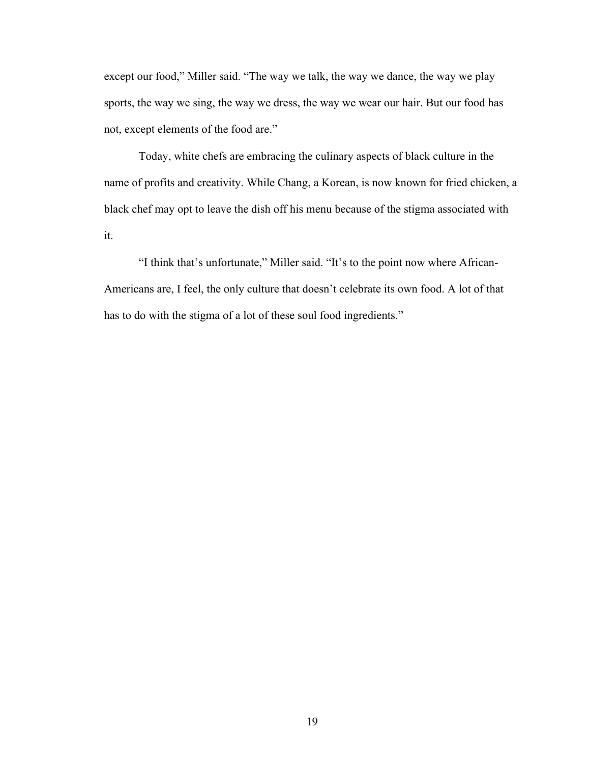except our food," Miller said. "The way we talk, the way we dance, the way we play sports, the way we sing, the way we dress, the way we wear our hair. But our food has not, except elements of the food are."

Today, white chefs are embracing the culinary aspects of black culture in the name of profits and creativity. While Chang, a Korean, is now known for fried chicken, a black chef may opt to leave the dish off his menu because of the stigma associated with it.

"I think that's unfortunate," Miller said. "It's to the point now where African-Americans are, I feel, the only culture that doesn't celebrate its own food. A lot of that has to do with the stigma of a lot of these soul food ingredients."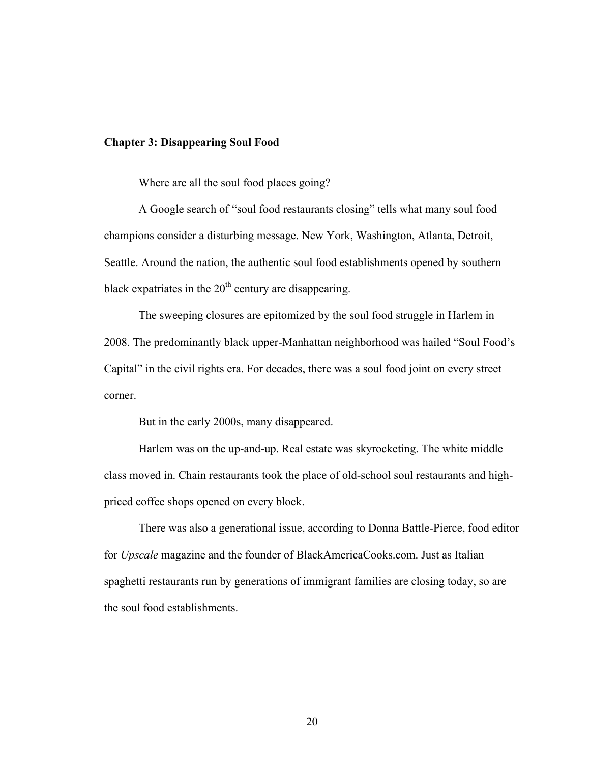## **Chapter 3: Disappearing Soul Food**

Where are all the soul food places going?

A Google search of "soul food restaurants closing" tells what many soul food champions consider a disturbing message. New York, Washington, Atlanta, Detroit, Seattle. Around the nation, the authentic soul food establishments opened by southern black expatriates in the  $20<sup>th</sup>$  century are disappearing.

The sweeping closures are epitomized by the soul food struggle in Harlem in 2008. The predominantly black upper-Manhattan neighborhood was hailed "Soul Food's Capital" in the civil rights era. For decades, there was a soul food joint on every street corner.

But in the early 2000s, many disappeared.

Harlem was on the up-and-up. Real estate was skyrocketing. The white middle class moved in. Chain restaurants took the place of old-school soul restaurants and highpriced coffee shops opened on every block.

There was also a generational issue, according to Donna Battle-Pierce, food editor for *Upscale* magazine and the founder of BlackAmericaCooks.com. Just as Italian spaghetti restaurants run by generations of immigrant families are closing today, so are the soul food establishments.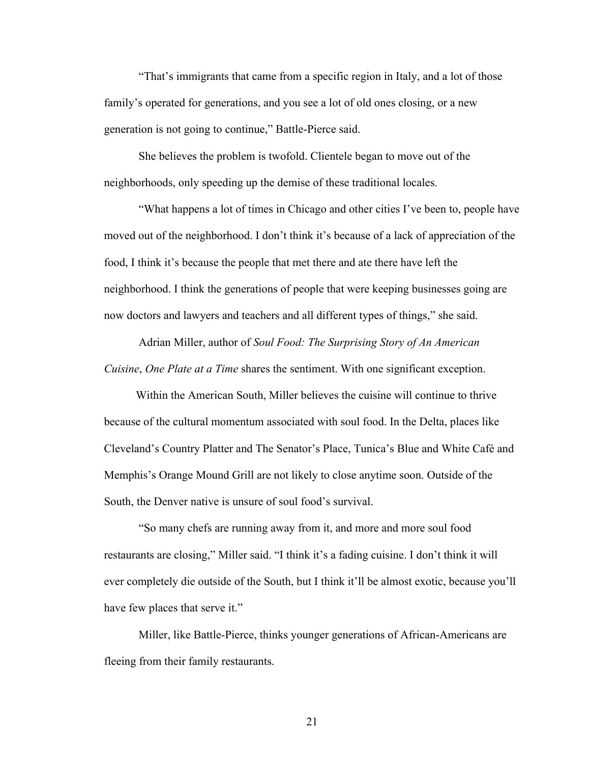"That's immigrants that came from a specific region in Italy, and a lot of those family's operated for generations, and you see a lot of old ones closing, or a new generation is not going to continue," Battle-Pierce said.

She believes the problem is twofold. Clientele began to move out of the neighborhoods, only speeding up the demise of these traditional locales.

"What happens a lot of times in Chicago and other cities I've been to, people have moved out of the neighborhood. I don't think it's because of a lack of appreciation of the food, I think it's because the people that met there and ate there have left the neighborhood. I think the generations of people that were keeping businesses going are now doctors and lawyers and teachers and all different types of things," she said.

Adrian Miller, author of *Soul Food: The Surprising Story of An American Cuisine*, *One Plate at a Time* shares the sentiment. With one significant exception.

 Within the American South, Miller believes the cuisine will continue to thrive because of the cultural momentum associated with soul food. In the Delta, places like Cleveland's Country Platter and The Senator's Place, Tunica's Blue and White Café and Memphis's Orange Mound Grill are not likely to close anytime soon. Outside of the South, the Denver native is unsure of soul food's survival.

"So many chefs are running away from it, and more and more soul food restaurants are closing," Miller said. "I think it's a fading cuisine. I don't think it will ever completely die outside of the South, but I think it'll be almost exotic, because you'll have few places that serve it."

Miller, like Battle-Pierce, thinks younger generations of African-Americans are fleeing from their family restaurants.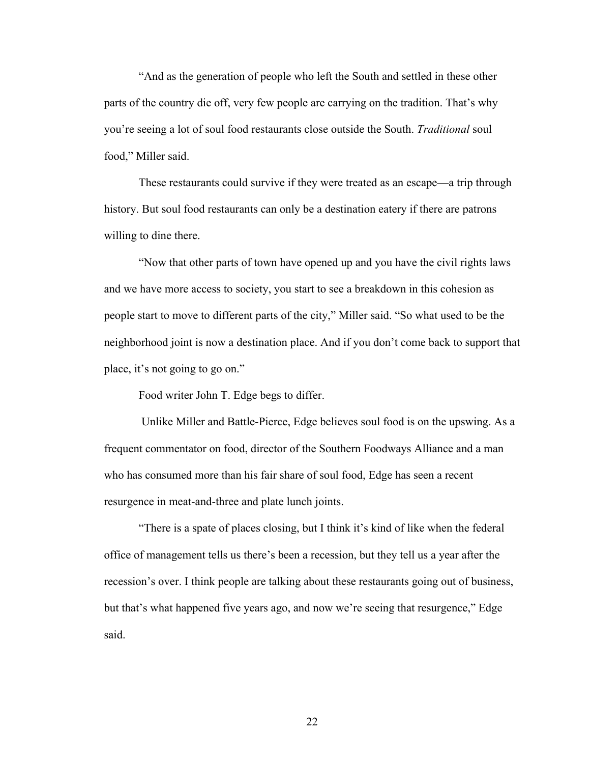"And as the generation of people who left the South and settled in these other parts of the country die off, very few people are carrying on the tradition. That's why you're seeing a lot of soul food restaurants close outside the South. *Traditional* soul food," Miller said.

These restaurants could survive if they were treated as an escape—a trip through history. But soul food restaurants can only be a destination eatery if there are patrons willing to dine there.

"Now that other parts of town have opened up and you have the civil rights laws and we have more access to society, you start to see a breakdown in this cohesion as people start to move to different parts of the city," Miller said. "So what used to be the neighborhood joint is now a destination place. And if you don't come back to support that place, it's not going to go on."

Food writer John T. Edge begs to differ.

 Unlike Miller and Battle-Pierce, Edge believes soul food is on the upswing. As a frequent commentator on food, director of the Southern Foodways Alliance and a man who has consumed more than his fair share of soul food, Edge has seen a recent resurgence in meat-and-three and plate lunch joints.

"There is a spate of places closing, but I think it's kind of like when the federal office of management tells us there's been a recession, but they tell us a year after the recession's over. I think people are talking about these restaurants going out of business, but that's what happened five years ago, and now we're seeing that resurgence," Edge said.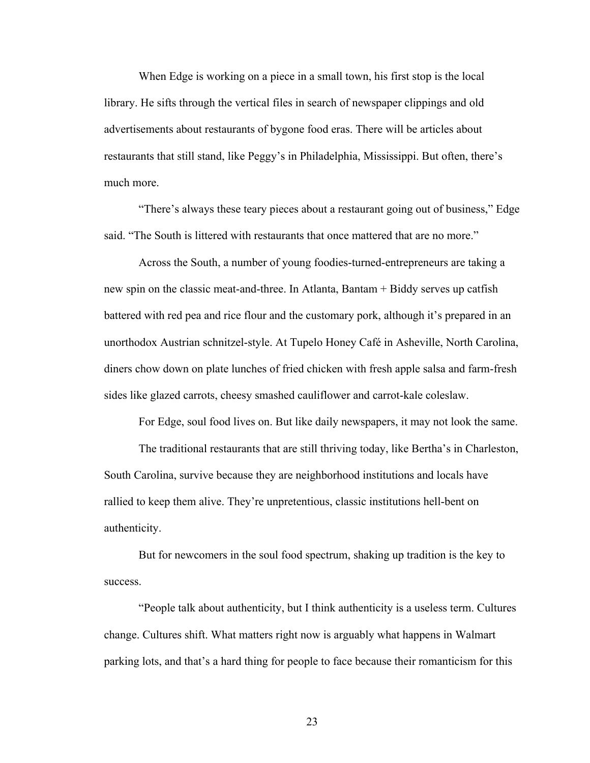When Edge is working on a piece in a small town, his first stop is the local library. He sifts through the vertical files in search of newspaper clippings and old advertisements about restaurants of bygone food eras. There will be articles about restaurants that still stand, like Peggy's in Philadelphia, Mississippi. But often, there's much more.

"There's always these teary pieces about a restaurant going out of business," Edge said. "The South is littered with restaurants that once mattered that are no more."

Across the South, a number of young foodies-turned-entrepreneurs are taking a new spin on the classic meat-and-three. In Atlanta, Bantam + Biddy serves up catfish battered with red pea and rice flour and the customary pork, although it's prepared in an unorthodox Austrian schnitzel-style. At Tupelo Honey Café in Asheville, North Carolina, diners chow down on plate lunches of fried chicken with fresh apple salsa and farm-fresh sides like glazed carrots, cheesy smashed cauliflower and carrot-kale coleslaw.

For Edge, soul food lives on. But like daily newspapers, it may not look the same.

The traditional restaurants that are still thriving today, like Bertha's in Charleston, South Carolina, survive because they are neighborhood institutions and locals have rallied to keep them alive. They're unpretentious, classic institutions hell-bent on authenticity.

But for newcomers in the soul food spectrum, shaking up tradition is the key to success.

"People talk about authenticity, but I think authenticity is a useless term. Cultures change. Cultures shift. What matters right now is arguably what happens in Walmart parking lots, and that's a hard thing for people to face because their romanticism for this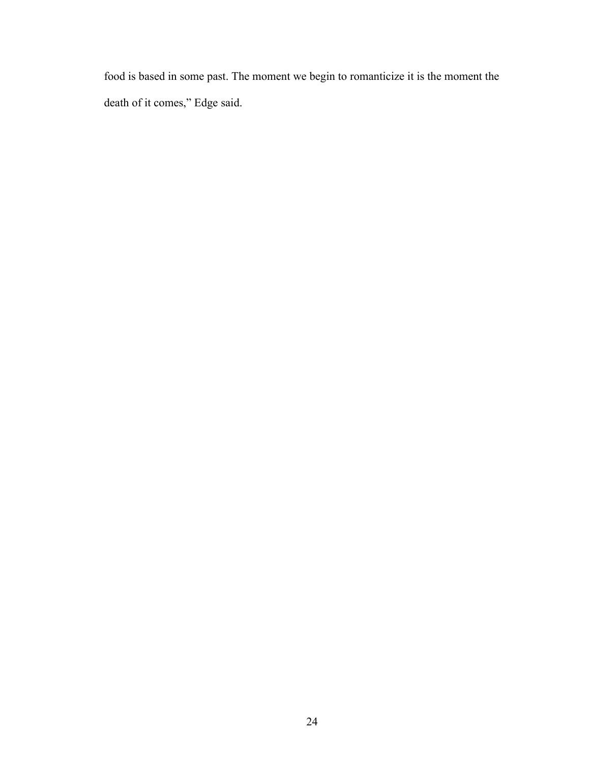food is based in some past. The moment we begin to romanticize it is the moment the death of it comes," Edge said.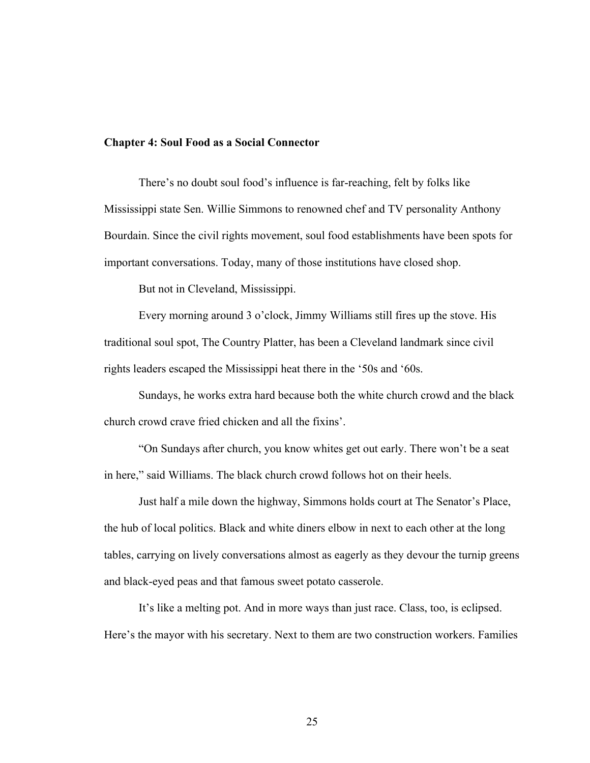## **Chapter 4: Soul Food as a Social Connector**

There's no doubt soul food's influence is far-reaching, felt by folks like Mississippi state Sen. Willie Simmons to renowned chef and TV personality Anthony Bourdain. Since the civil rights movement, soul food establishments have been spots for important conversations. Today, many of those institutions have closed shop.

But not in Cleveland, Mississippi.

Every morning around 3 o'clock, Jimmy Williams still fires up the stove. His traditional soul spot, The Country Platter, has been a Cleveland landmark since civil rights leaders escaped the Mississippi heat there in the '50s and '60s.

Sundays, he works extra hard because both the white church crowd and the black church crowd crave fried chicken and all the fixins'.

"On Sundays after church, you know whites get out early. There won't be a seat in here," said Williams. The black church crowd follows hot on their heels.

Just half a mile down the highway, Simmons holds court at The Senator's Place, the hub of local politics. Black and white diners elbow in next to each other at the long tables, carrying on lively conversations almost as eagerly as they devour the turnip greens and black-eyed peas and that famous sweet potato casserole.

It's like a melting pot. And in more ways than just race. Class, too, is eclipsed. Here's the mayor with his secretary. Next to them are two construction workers. Families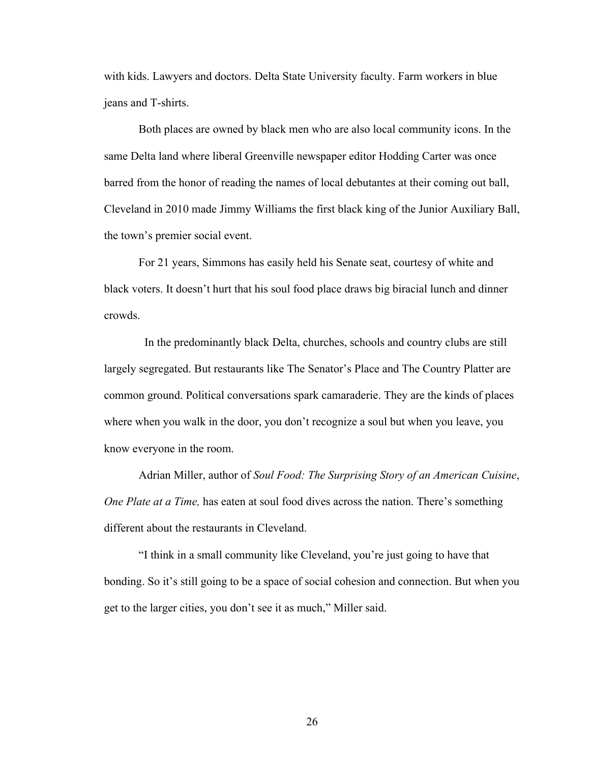with kids. Lawyers and doctors. Delta State University faculty. Farm workers in blue jeans and T-shirts.

Both places are owned by black men who are also local community icons. In the same Delta land where liberal Greenville newspaper editor Hodding Carter was once barred from the honor of reading the names of local debutantes at their coming out ball, Cleveland in 2010 made Jimmy Williams the first black king of the Junior Auxiliary Ball, the town's premier social event.

For 21 years, Simmons has easily held his Senate seat, courtesy of white and black voters. It doesn't hurt that his soul food place draws big biracial lunch and dinner crowds.

 In the predominantly black Delta, churches, schools and country clubs are still largely segregated. But restaurants like The Senator's Place and The Country Platter are common ground. Political conversations spark camaraderie. They are the kinds of places where when you walk in the door, you don't recognize a soul but when you leave, you know everyone in the room.

Adrian Miller, author of *Soul Food: The Surprising Story of an American Cuisine*, *One Plate at a Time,* has eaten at soul food dives across the nation. There's something different about the restaurants in Cleveland.

"I think in a small community like Cleveland, you're just going to have that bonding. So it's still going to be a space of social cohesion and connection. But when you get to the larger cities, you don't see it as much," Miller said.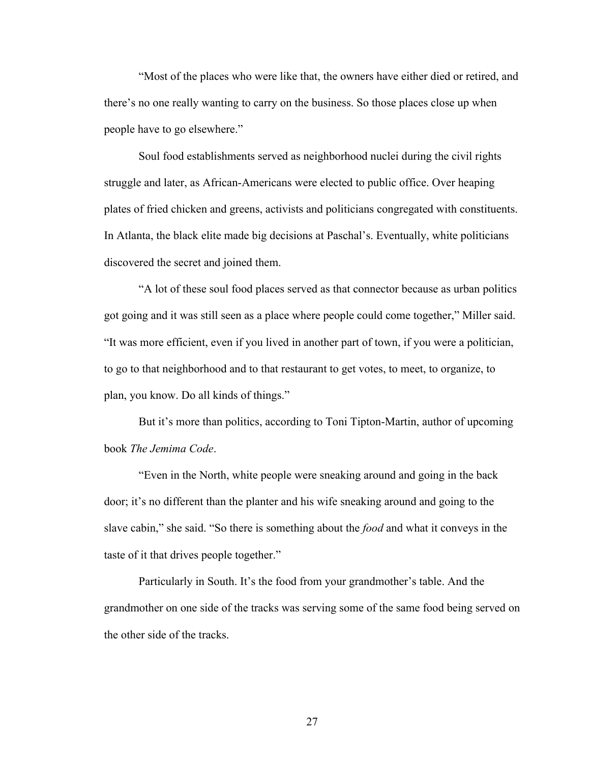"Most of the places who were like that, the owners have either died or retired, and there's no one really wanting to carry on the business. So those places close up when people have to go elsewhere."

Soul food establishments served as neighborhood nuclei during the civil rights struggle and later, as African-Americans were elected to public office. Over heaping plates of fried chicken and greens, activists and politicians congregated with constituents. In Atlanta, the black elite made big decisions at Paschal's. Eventually, white politicians discovered the secret and joined them.

"A lot of these soul food places served as that connector because as urban politics got going and it was still seen as a place where people could come together," Miller said. "It was more efficient, even if you lived in another part of town, if you were a politician, to go to that neighborhood and to that restaurant to get votes, to meet, to organize, to plan, you know. Do all kinds of things."

But it's more than politics, according to Toni Tipton-Martin, author of upcoming book *The Jemima Code*.

"Even in the North, white people were sneaking around and going in the back door; it's no different than the planter and his wife sneaking around and going to the slave cabin," she said. "So there is something about the *food* and what it conveys in the taste of it that drives people together."

Particularly in South. It's the food from your grandmother's table. And the grandmother on one side of the tracks was serving some of the same food being served on the other side of the tracks.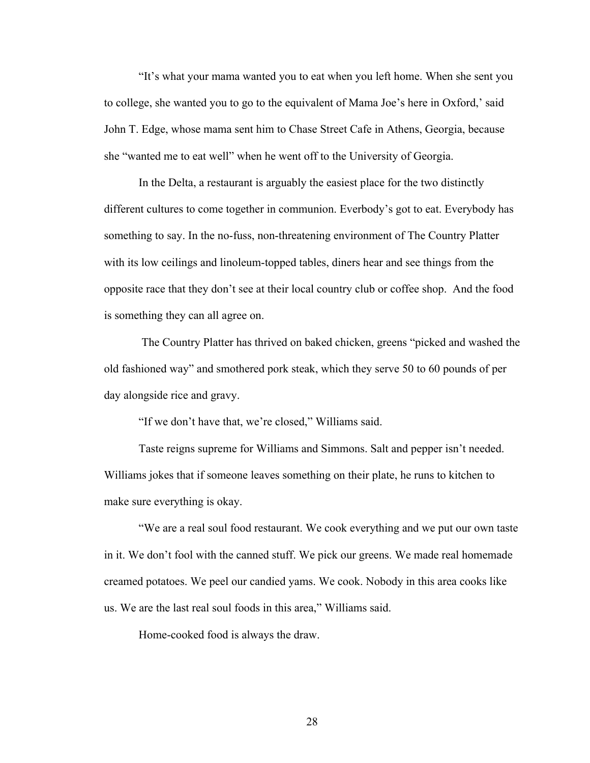"It's what your mama wanted you to eat when you left home. When she sent you to college, she wanted you to go to the equivalent of Mama Joe's here in Oxford,' said John T. Edge, whose mama sent him to Chase Street Cafe in Athens, Georgia, because she "wanted me to eat well" when he went off to the University of Georgia.

In the Delta, a restaurant is arguably the easiest place for the two distinctly different cultures to come together in communion. Everbody's got to eat. Everybody has something to say. In the no-fuss, non-threatening environment of The Country Platter with its low ceilings and linoleum-topped tables, diners hear and see things from the opposite race that they don't see at their local country club or coffee shop. And the food is something they can all agree on.

 The Country Platter has thrived on baked chicken, greens "picked and washed the old fashioned way" and smothered pork steak, which they serve 50 to 60 pounds of per day alongside rice and gravy.

"If we don't have that, we're closed," Williams said.

Taste reigns supreme for Williams and Simmons. Salt and pepper isn't needed. Williams jokes that if someone leaves something on their plate, he runs to kitchen to make sure everything is okay.

"We are a real soul food restaurant. We cook everything and we put our own taste in it. We don't fool with the canned stuff. We pick our greens. We made real homemade creamed potatoes. We peel our candied yams. We cook. Nobody in this area cooks like us. We are the last real soul foods in this area," Williams said.

Home-cooked food is always the draw.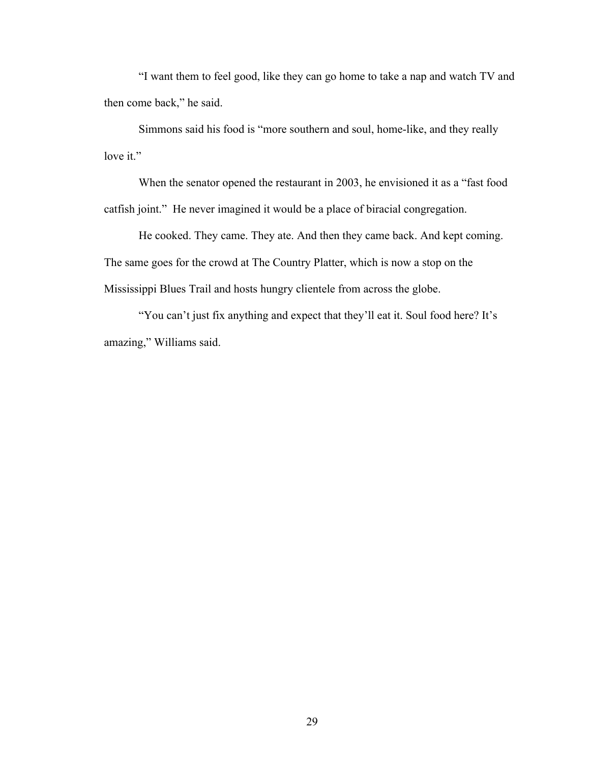"I want them to feel good, like they can go home to take a nap and watch TV and then come back," he said.

Simmons said his food is "more southern and soul, home-like, and they really love it."

When the senator opened the restaurant in 2003, he envisioned it as a "fast food catfish joint." He never imagined it would be a place of biracial congregation.

He cooked. They came. They ate. And then they came back. And kept coming. The same goes for the crowd at The Country Platter, which is now a stop on the Mississippi Blues Trail and hosts hungry clientele from across the globe.

"You can't just fix anything and expect that they'll eat it. Soul food here? It's amazing," Williams said.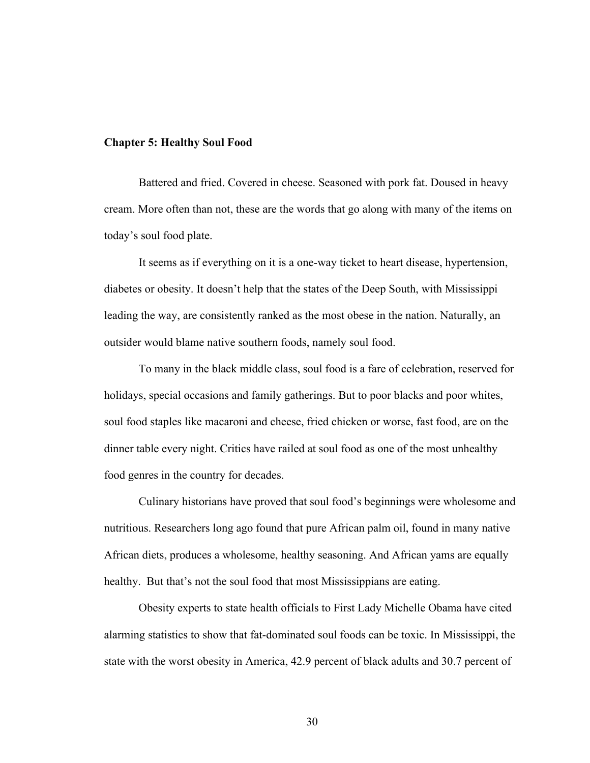## **Chapter 5: Healthy Soul Food**

Battered and fried. Covered in cheese. Seasoned with pork fat. Doused in heavy cream. More often than not, these are the words that go along with many of the items on today's soul food plate.

It seems as if everything on it is a one-way ticket to heart disease, hypertension, diabetes or obesity. It doesn't help that the states of the Deep South, with Mississippi leading the way, are consistently ranked as the most obese in the nation. Naturally, an outsider would blame native southern foods, namely soul food.

 To many in the black middle class, soul food is a fare of celebration, reserved for holidays, special occasions and family gatherings. But to poor blacks and poor whites, soul food staples like macaroni and cheese, fried chicken or worse, fast food, are on the dinner table every night. Critics have railed at soul food as one of the most unhealthy food genres in the country for decades.

Culinary historians have proved that soul food's beginnings were wholesome and nutritious. Researchers long ago found that pure African palm oil, found in many native African diets, produces a wholesome, healthy seasoning. And African yams are equally healthy. But that's not the soul food that most Mississippians are eating.

Obesity experts to state health officials to First Lady Michelle Obama have cited alarming statistics to show that fat-dominated soul foods can be toxic. In Mississippi, the state with the worst obesity in America, 42.9 percent of black adults and 30.7 percent of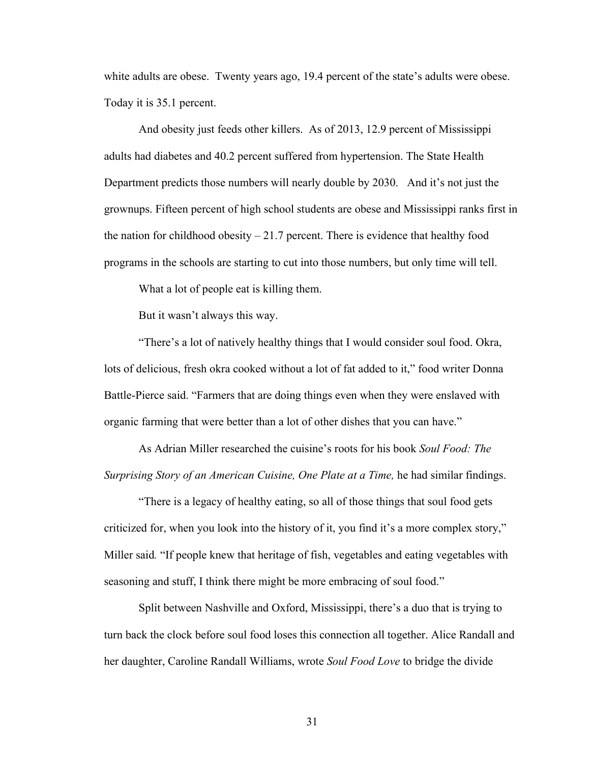white adults are obese. Twenty years ago, 19.4 percent of the state's adults were obese. Today it is 35.1 percent.

And obesity just feeds other killers. As of 2013, 12.9 percent of Mississippi adults had diabetes and 40.2 percent suffered from hypertension. The State Health Department predicts those numbers will nearly double by 2030. And it's not just the grownups. Fifteen percent of high school students are obese and Mississippi ranks first in the nation for childhood obesity  $-21.7$  percent. There is evidence that healthy food programs in the schools are starting to cut into those numbers, but only time will tell.

What a lot of people eat is killing them.

But it wasn't always this way.

"There's a lot of natively healthy things that I would consider soul food. Okra, lots of delicious, fresh okra cooked without a lot of fat added to it," food writer Donna Battle-Pierce said. "Farmers that are doing things even when they were enslaved with organic farming that were better than a lot of other dishes that you can have."

As Adrian Miller researched the cuisine's roots for his book *Soul Food: The Surprising Story of an American Cuisine, One Plate at a Time,* he had similar findings.

"There is a legacy of healthy eating, so all of those things that soul food gets criticized for, when you look into the history of it, you find it's a more complex story," Miller said*.* "If people knew that heritage of fish, vegetables and eating vegetables with seasoning and stuff, I think there might be more embracing of soul food."

Split between Nashville and Oxford, Mississippi, there's a duo that is trying to turn back the clock before soul food loses this connection all together. Alice Randall and her daughter, Caroline Randall Williams, wrote *Soul Food Love* to bridge the divide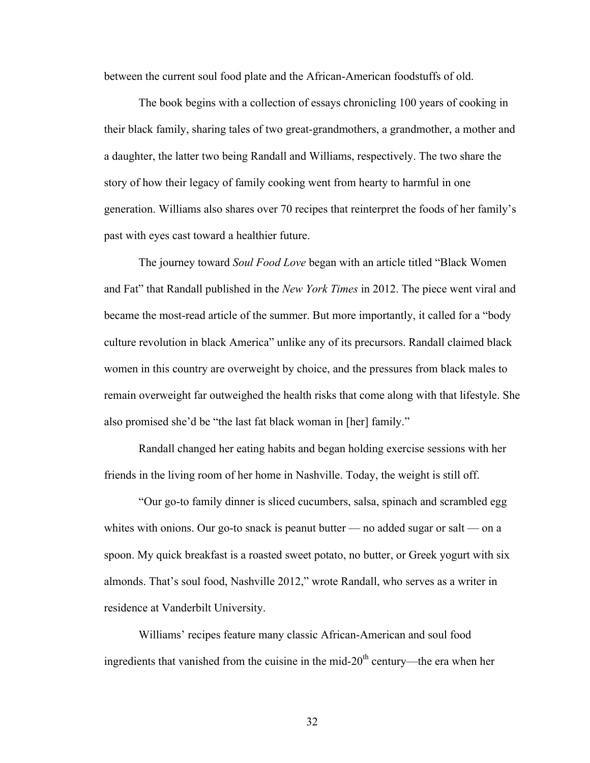between the current soul food plate and the African-American foodstuffs of old.

The book begins with a collection of essays chronicling 100 years of cooking in their black family, sharing tales of two great-grandmothers, a grandmother, a mother and a daughter, the latter two being Randall and Williams, respectively. The two share the story of how their legacy of family cooking went from hearty to harmful in one generation. Williams also shares over 70 recipes that reinterpret the foods of her family's past with eyes cast toward a healthier future.

The journey toward *Soul Food Love* began with an article titled "Black Women and Fat" that Randall published in the *New York Times* in 2012. The piece went viral and became the most-read article of the summer. But more importantly, it called for a "body culture revolution in black America" unlike any of its precursors. Randall claimed black women in this country are overweight by choice, and the pressures from black males to remain overweight far outweighed the health risks that come along with that lifestyle. She also promised she'd be "the last fat black woman in [her] family."

Randall changed her eating habits and began holding exercise sessions with her friends in the living room of her home in Nashville. Today, the weight is still off.

"Our go-to family dinner is sliced cucumbers, salsa, spinach and scrambled egg whites with onions. Our go-to snack is peanut butter — no added sugar or salt — on a spoon. My quick breakfast is a roasted sweet potato, no butter, or Greek yogurt with six almonds. That's soul food, Nashville 2012," wrote Randall, who serves as a writer in residence at Vanderbilt University.

Williams' recipes feature many classic African-American and soul food ingredients that vanished from the cuisine in the mid-20<sup>th</sup> century—the era when her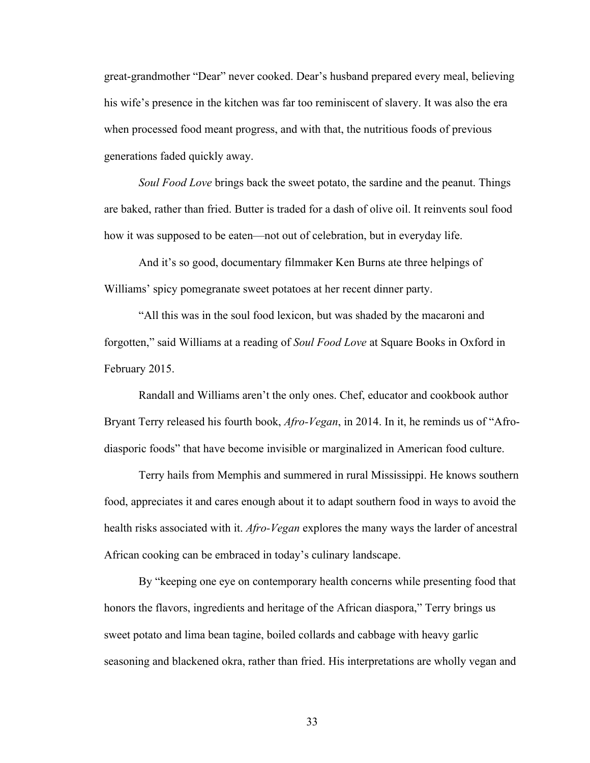great-grandmother "Dear" never cooked. Dear's husband prepared every meal, believing his wife's presence in the kitchen was far too reminiscent of slavery. It was also the era when processed food meant progress, and with that, the nutritious foods of previous generations faded quickly away.

*Soul Food Love* brings back the sweet potato, the sardine and the peanut. Things are baked, rather than fried. Butter is traded for a dash of olive oil. It reinvents soul food how it was supposed to be eaten—not out of celebration, but in everyday life.

And it's so good, documentary filmmaker Ken Burns ate three helpings of Williams' spicy pomegranate sweet potatoes at her recent dinner party.

"All this was in the soul food lexicon, but was shaded by the macaroni and forgotten," said Williams at a reading of *Soul Food Love* at Square Books in Oxford in February 2015.

Randall and Williams aren't the only ones. Chef, educator and cookbook author Bryant Terry released his fourth book, *Afro-Vegan*, in 2014. In it, he reminds us of "Afrodiasporic foods" that have become invisible or marginalized in American food culture.

Terry hails from Memphis and summered in rural Mississippi. He knows southern food, appreciates it and cares enough about it to adapt southern food in ways to avoid the health risks associated with it. *Afro-Vegan* explores the many ways the larder of ancestral African cooking can be embraced in today's culinary landscape.

By "keeping one eye on contemporary health concerns while presenting food that honors the flavors, ingredients and heritage of the African diaspora," Terry brings us sweet potato and lima bean tagine, boiled collards and cabbage with heavy garlic seasoning and blackened okra, rather than fried. His interpretations are wholly vegan and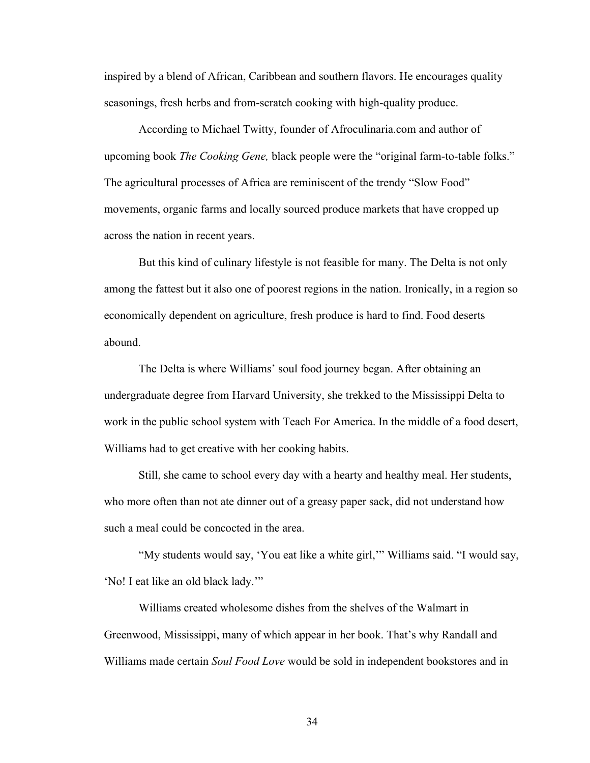inspired by a blend of African, Caribbean and southern flavors. He encourages quality seasonings, fresh herbs and from-scratch cooking with high-quality produce.

According to Michael Twitty, founder of Afroculinaria.com and author of upcoming book *The Cooking Gene,* black people were the "original farm-to-table folks." The agricultural processes of Africa are reminiscent of the trendy "Slow Food" movements, organic farms and locally sourced produce markets that have cropped up across the nation in recent years.

But this kind of culinary lifestyle is not feasible for many. The Delta is not only among the fattest but it also one of poorest regions in the nation. Ironically, in a region so economically dependent on agriculture, fresh produce is hard to find. Food deserts abound.

The Delta is where Williams' soul food journey began. After obtaining an undergraduate degree from Harvard University, she trekked to the Mississippi Delta to work in the public school system with Teach For America. In the middle of a food desert, Williams had to get creative with her cooking habits.

Still, she came to school every day with a hearty and healthy meal. Her students, who more often than not ate dinner out of a greasy paper sack, did not understand how such a meal could be concocted in the area.

"My students would say, 'You eat like a white girl,'" Williams said. "I would say, 'No! I eat like an old black lady.'"

Williams created wholesome dishes from the shelves of the Walmart in Greenwood, Mississippi, many of which appear in her book. That's why Randall and Williams made certain *Soul Food Love* would be sold in independent bookstores and in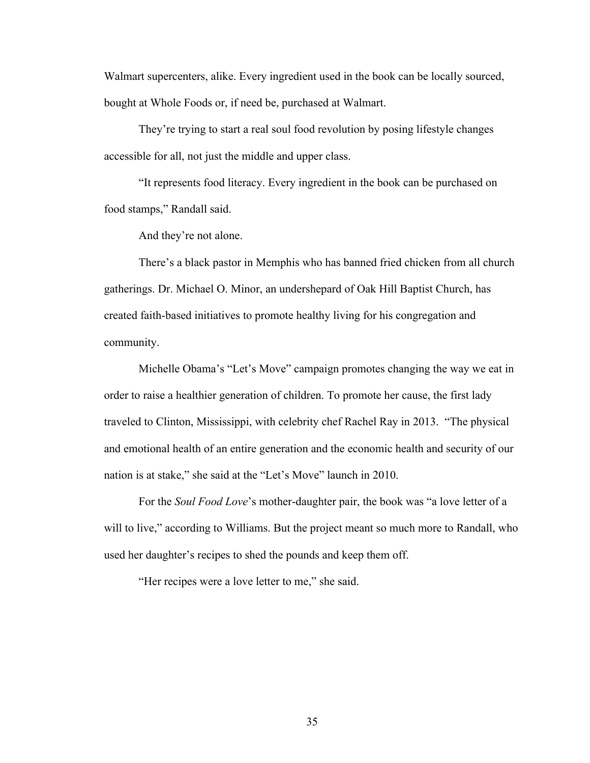Walmart supercenters, alike. Every ingredient used in the book can be locally sourced, bought at Whole Foods or, if need be, purchased at Walmart.

They're trying to start a real soul food revolution by posing lifestyle changes accessible for all, not just the middle and upper class.

"It represents food literacy. Every ingredient in the book can be purchased on food stamps," Randall said.

And they're not alone.

There's a black pastor in Memphis who has banned fried chicken from all church gatherings. Dr. Michael O. Minor, an undershepard of Oak Hill Baptist Church, has created faith-based initiatives to promote healthy living for his congregation and community.

Michelle Obama's "Let's Move" campaign promotes changing the way we eat in order to raise a healthier generation of children. To promote her cause, the first lady traveled to Clinton, Mississippi, with celebrity chef Rachel Ray in 2013. "The physical and emotional health of an entire generation and the economic health and security of our nation is at stake," she said at the "Let's Move" launch in 2010.

For the *Soul Food Love*'s mother-daughter pair, the book was "a love letter of a will to live," according to Williams. But the project meant so much more to Randall, who used her daughter's recipes to shed the pounds and keep them off.

"Her recipes were a love letter to me," she said.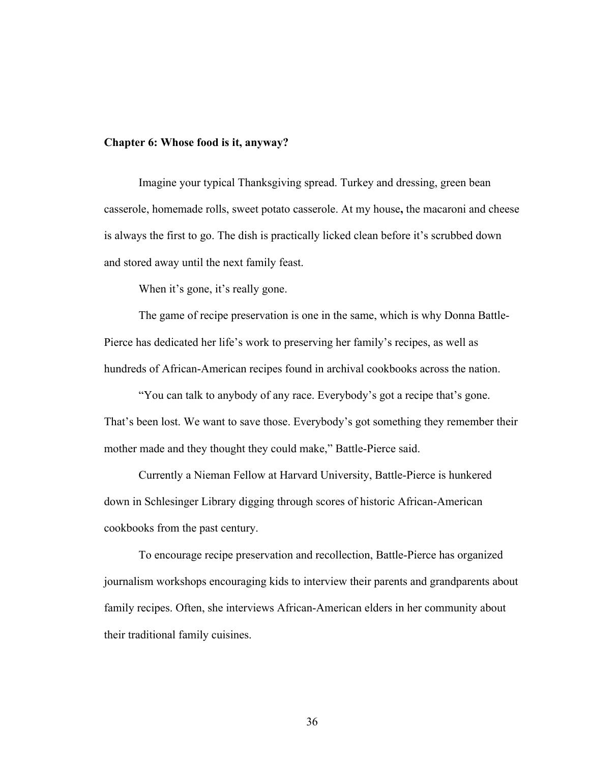## **Chapter 6: Whose food is it, anyway?**

Imagine your typical Thanksgiving spread. Turkey and dressing, green bean casserole, homemade rolls, sweet potato casserole. At my house**,** the macaroni and cheese is always the first to go. The dish is practically licked clean before it's scrubbed down and stored away until the next family feast.

When it's gone, it's really gone.

The game of recipe preservation is one in the same, which is why Donna Battle-Pierce has dedicated her life's work to preserving her family's recipes, as well as hundreds of African-American recipes found in archival cookbooks across the nation.

"You can talk to anybody of any race. Everybody's got a recipe that's gone. That's been lost. We want to save those. Everybody's got something they remember their mother made and they thought they could make," Battle-Pierce said.

Currently a Nieman Fellow at Harvard University, Battle-Pierce is hunkered down in Schlesinger Library digging through scores of historic African-American cookbooks from the past century.

To encourage recipe preservation and recollection, Battle-Pierce has organized journalism workshops encouraging kids to interview their parents and grandparents about family recipes. Often, she interviews African-American elders in her community about their traditional family cuisines.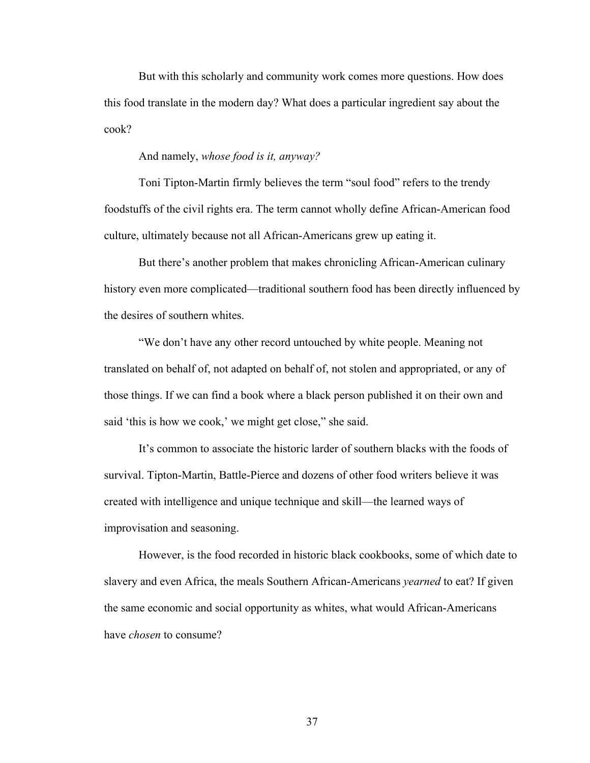But with this scholarly and community work comes more questions. How does this food translate in the modern day? What does a particular ingredient say about the cook?

And namely, *whose food is it, anyway?*

Toni Tipton-Martin firmly believes the term "soul food" refers to the trendy foodstuffs of the civil rights era. The term cannot wholly define African-American food culture, ultimately because not all African-Americans grew up eating it.

But there's another problem that makes chronicling African-American culinary history even more complicated—traditional southern food has been directly influenced by the desires of southern whites.

"We don't have any other record untouched by white people. Meaning not translated on behalf of, not adapted on behalf of, not stolen and appropriated, or any of those things. If we can find a book where a black person published it on their own and said 'this is how we cook,' we might get close," she said.

It's common to associate the historic larder of southern blacks with the foods of survival. Tipton-Martin, Battle-Pierce and dozens of other food writers believe it was created with intelligence and unique technique and skill—the learned ways of improvisation and seasoning.

However, is the food recorded in historic black cookbooks, some of which date to slavery and even Africa, the meals Southern African-Americans *yearned* to eat? If given the same economic and social opportunity as whites, what would African-Americans have *chosen* to consume?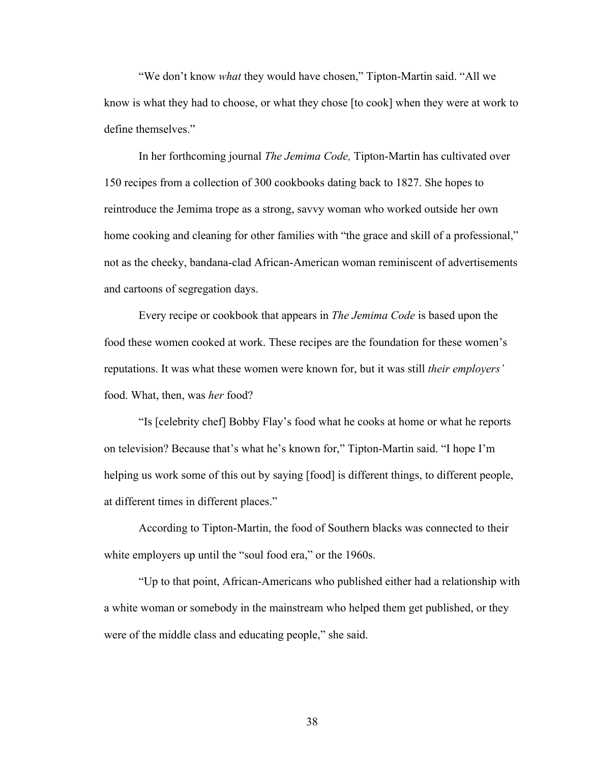"We don't know *what* they would have chosen," Tipton-Martin said. "All we know is what they had to choose, or what they chose [to cook] when they were at work to define themselves."

In her forthcoming journal *The Jemima Code,* Tipton-Martin has cultivated over 150 recipes from a collection of 300 cookbooks dating back to 1827. She hopes to reintroduce the Jemima trope as a strong, savvy woman who worked outside her own home cooking and cleaning for other families with "the grace and skill of a professional," not as the cheeky, bandana-clad African-American woman reminiscent of advertisements and cartoons of segregation days.

Every recipe or cookbook that appears in *The Jemima Code* is based upon the food these women cooked at work. These recipes are the foundation for these women's reputations. It was what these women were known for, but it was still *their employers'* food. What, then, was *her* food?

"Is [celebrity chef] Bobby Flay's food what he cooks at home or what he reports on television? Because that's what he's known for," Tipton-Martin said. "I hope I'm helping us work some of this out by saying [food] is different things, to different people, at different times in different places."

According to Tipton-Martin, the food of Southern blacks was connected to their white employers up until the "soul food era," or the 1960s.

"Up to that point, African-Americans who published either had a relationship with a white woman or somebody in the mainstream who helped them get published, or they were of the middle class and educating people," she said.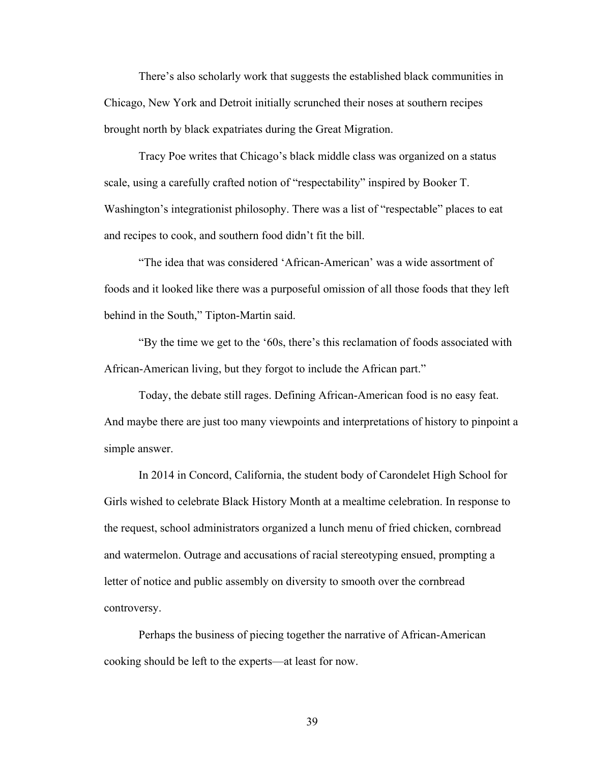There's also scholarly work that suggests the established black communities in Chicago, New York and Detroit initially scrunched their noses at southern recipes brought north by black expatriates during the Great Migration.

Tracy Poe writes that Chicago's black middle class was organized on a status scale, using a carefully crafted notion of "respectability" inspired by Booker T. Washington's integrationist philosophy. There was a list of "respectable" places to eat and recipes to cook, and southern food didn't fit the bill.

"The idea that was considered 'African-American' was a wide assortment of foods and it looked like there was a purposeful omission of all those foods that they left behind in the South," Tipton-Martin said.

"By the time we get to the '60s, there's this reclamation of foods associated with African-American living, but they forgot to include the African part."

Today, the debate still rages. Defining African-American food is no easy feat. And maybe there are just too many viewpoints and interpretations of history to pinpoint a simple answer.

In 2014 in Concord, California, the student body of Carondelet High School for Girls wished to celebrate Black History Month at a mealtime celebration. In response to the request, school administrators organized a lunch menu of fried chicken, cornbread and watermelon. Outrage and accusations of racial stereotyping ensued, prompting a letter of notice and public assembly on diversity to smooth over the cornbread controversy.

Perhaps the business of piecing together the narrative of African-American cooking should be left to the experts—at least for now.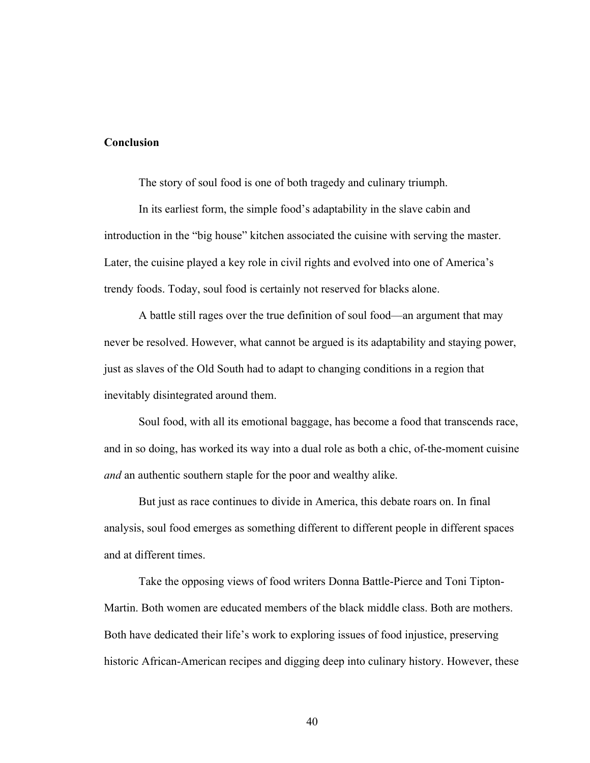## **Conclusion**

The story of soul food is one of both tragedy and culinary triumph.

In its earliest form, the simple food's adaptability in the slave cabin and introduction in the "big house" kitchen associated the cuisine with serving the master. Later, the cuisine played a key role in civil rights and evolved into one of America's trendy foods. Today, soul food is certainly not reserved for blacks alone.

A battle still rages over the true definition of soul food—an argument that may never be resolved. However, what cannot be argued is its adaptability and staying power, just as slaves of the Old South had to adapt to changing conditions in a region that inevitably disintegrated around them.

Soul food, with all its emotional baggage, has become a food that transcends race, and in so doing, has worked its way into a dual role as both a chic, of-the-moment cuisine *and* an authentic southern staple for the poor and wealthy alike.

But just as race continues to divide in America, this debate roars on. In final analysis, soul food emerges as something different to different people in different spaces and at different times.

Take the opposing views of food writers Donna Battle-Pierce and Toni Tipton-Martin. Both women are educated members of the black middle class. Both are mothers. Both have dedicated their life's work to exploring issues of food injustice, preserving historic African-American recipes and digging deep into culinary history. However, these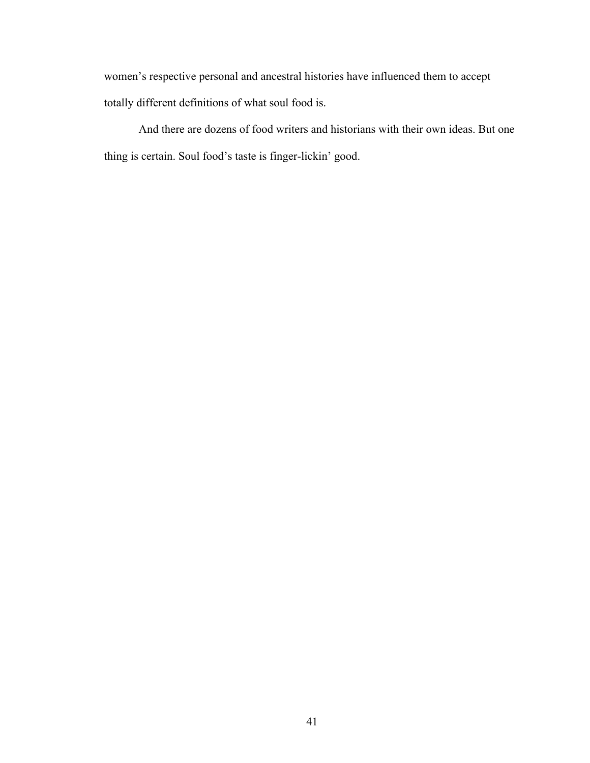women's respective personal and ancestral histories have influenced them to accept totally different definitions of what soul food is.

And there are dozens of food writers and historians with their own ideas. But one thing is certain. Soul food's taste is finger-lickin' good.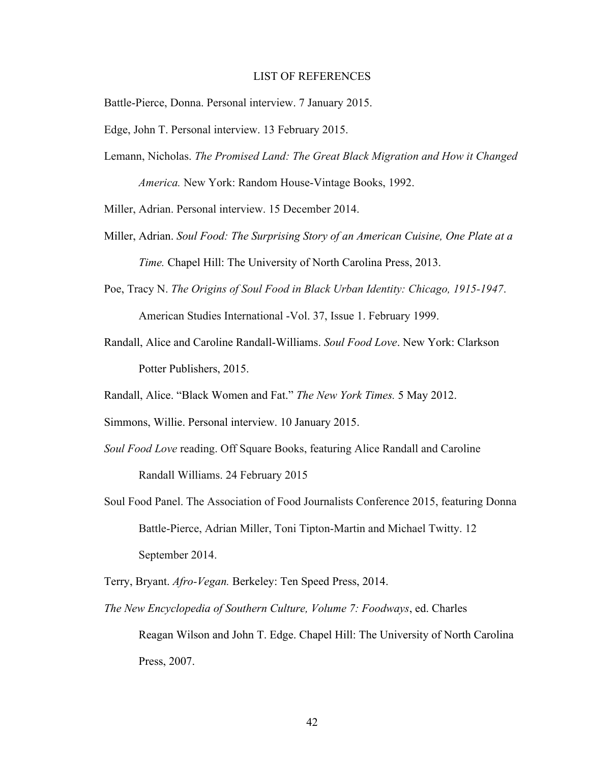#### LIST OF REFERENCES

Battle-Pierce, Donna. Personal interview. 7 January 2015.

Edge, John T. Personal interview. 13 February 2015.

Lemann, Nicholas. *The Promised Land: The Great Black Migration and How it Changed America.* New York: Random House-Vintage Books, 1992.

Miller, Adrian. Personal interview. 15 December 2014.

- Miller, Adrian. *Soul Food: The Surprising Story of an American Cuisine, One Plate at a Time.* Chapel Hill: The University of North Carolina Press, 2013.
- Poe, Tracy N. *The Origins of Soul Food in Black Urban Identity: Chicago, 1915-1947*.

American Studies International -Vol. 37, Issue 1. February 1999.

- Randall, Alice and Caroline Randall-Williams. *Soul Food Love*. New York: Clarkson Potter Publishers, 2015.
- Randall, Alice. "Black Women and Fat." *The New York Times.* 5 May 2012.
- Simmons, Willie. Personal interview. 10 January 2015.
- *Soul Food Love* reading. Off Square Books, featuring Alice Randall and Caroline Randall Williams. 24 February 2015
- Soul Food Panel. The Association of Food Journalists Conference 2015, featuring Donna Battle-Pierce, Adrian Miller, Toni Tipton-Martin and Michael Twitty. 12 September 2014.

Terry, Bryant. *Afro-Vegan.* Berkeley: Ten Speed Press, 2014.

*The New Encyclopedia of Southern Culture, Volume 7: Foodways*, ed. Charles Reagan Wilson and John T. Edge. Chapel Hill: The University of North Carolina Press, 2007.